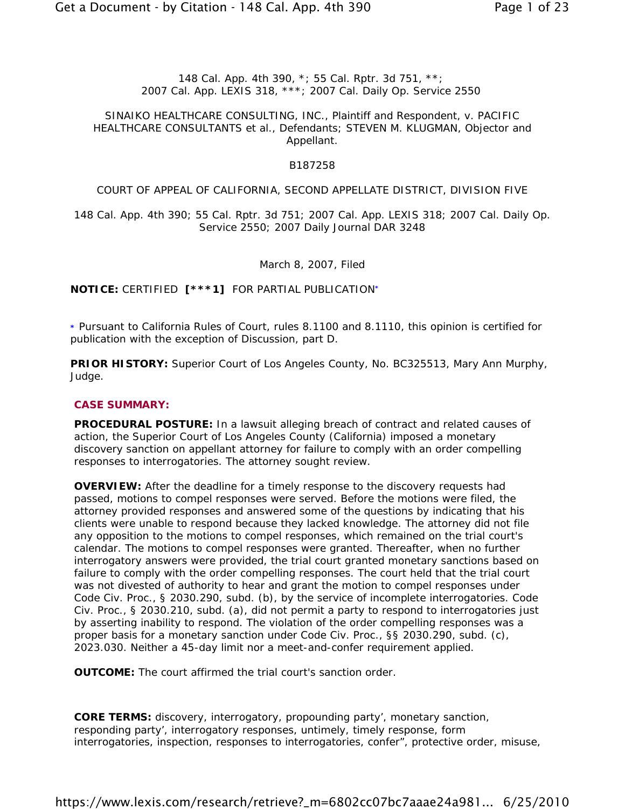### *148 Cal. App. 4th 390, \*; 55 Cal. Rptr. 3d 751, \*\*; 2007 Cal. App. LEXIS 318, \*\*\*; 2007 Cal. Daily Op. Service 2550*

### SINAIKO HEALTHCARE CONSULTING, INC., Plaintiff and Respondent, v. PACIFIC HEALTHCARE CONSULTANTS et al., Defendants; STEVEN M. KLUGMAN, Objector and Appellant.

### B187258

### COURT OF APPEAL OF CALIFORNIA, SECOND APPELLATE DISTRICT, DIVISION FIVE

148 Cal. App. 4th 390; 55 Cal. Rptr. 3d 751; 2007 Cal. App. LEXIS 318; 2007 Cal. Daily Op. Service 2550; 2007 Daily Journal DAR 3248

March 8, 2007, Filed

**NOTICE:** CERTIFIED **[\*\*\*1]** FOR PARTIAL PUBLICATION**\***

**\*** Pursuant to California Rules of Court, rules 8.1100 and 8.1110, this opinion is certified for publication with the exception of Discussion, part D.

**PRIOR HISTORY:** Superior Court of Los Angeles County, No. BC325513, Mary Ann Murphy, Judge.

#### **CASE SUMMARY:**

**PROCEDURAL POSTURE:** In a lawsuit alleging breach of contract and related causes of action, the Superior Court of Los Angeles County (California) imposed a monetary discovery sanction on appellant attorney for failure to comply with an order compelling responses to interrogatories. The attorney sought review.

**OVERVIEW:** After the deadline for a timely response to the discovery requests had passed, motions to compel responses were served. Before the motions were filed, the attorney provided responses and answered some of the questions by indicating that his clients were unable to respond because they lacked knowledge. The attorney did not file any opposition to the motions to compel responses, which remained on the trial court's calendar. The motions to compel responses were granted. Thereafter, when no further interrogatory answers were provided, the trial court granted monetary sanctions based on failure to comply with the order compelling responses. The court held that the trial court was not divested of authority to hear and grant the motion to compel responses under Code Civ. Proc., § 2030.290, subd. (b), by the service of incomplete interrogatories. Code Civ. Proc., § 2030.210, subd. (a), did not permit a party to respond to interrogatories just by asserting inability to respond. The violation of the order compelling responses was a proper basis for a monetary sanction under Code Civ. Proc., §§ 2030.290, subd. (c), 2023.030. Neither a 45-day limit nor a meet-and-confer requirement applied.

**OUTCOME:** The court affirmed the trial court's sanction order.

**CORE TERMS:** discovery, interrogatory, propounding party', monetary sanction, responding party', interrogatory responses, untimely, timely response, form interrogatories, inspection, responses to interrogatories, confer", protective order, misuse,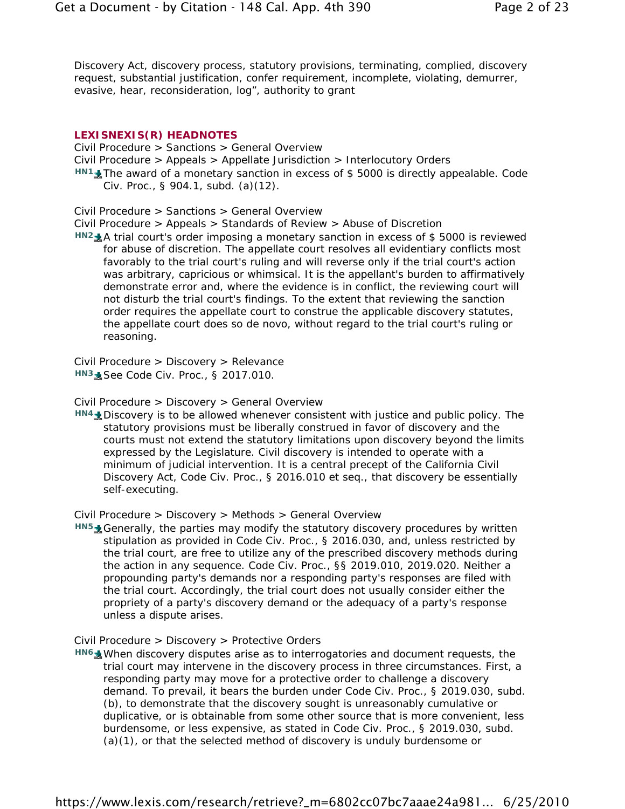Discovery Act, discovery process, statutory provisions, terminating, complied, discovery request, substantial justification, confer requirement, incomplete, violating, demurrer, evasive, hear, reconsideration, log", authority to grant

#### **LEXISNEXIS(R) HEADNOTES**

Civil Procedure > Sanctions > General Overview Civil Procedure > Appeals > Appellate Jurisdiction > Interlocutory Orders *HN1* **L**<sub>I</sub>The award of a monetary sanction in excess of \$5000 is directly appealable. Code Civ. Proc., § 904.1, subd. (a)(12).

Civil Procedure > Sanctions > General Overview

Civil Procedure > Appeals > Standards of Review > Abuse of Discretion

*HN2* A trial court's order imposing a monetary sanction in excess of \$5000 is reviewed for abuse of discretion. The appellate court resolves all evidentiary conflicts most favorably to the trial court's ruling and will reverse only if the trial court's action was arbitrary, capricious or whimsical. It is the appellant's burden to affirmatively demonstrate error and, where the evidence is in conflict, the reviewing court will not disturb the trial court's findings. To the extent that reviewing the sanction order requires the appellate court to construe the applicable discovery statutes, the appellate court does so de novo, without regard to the trial court's ruling or reasoning.

Civil Procedure > Discovery > Relevance *HN3* **See Code Civ. Proc., § 2017.010.** 

Civil Procedure > Discovery > General Overview

HN4<sup>+</sup> Discovery is to be allowed whenever consistent with justice and public policy. The statutory provisions must be liberally construed in favor of discovery and the courts must not extend the statutory limitations upon discovery beyond the limits expressed by the Legislature. Civil discovery is intended to operate with a minimum of judicial intervention. It is a central precept of the California Civil Discovery Act, Code Civ. Proc., § 2016.010 et seq., that discovery be essentially self-executing.

Civil Procedure > Discovery > Methods > General Overview

HN5<sup>+</sup> Generally, the parties may modify the statutory discovery procedures by written stipulation as provided in Code Civ. Proc., § 2016.030, and, unless restricted by the trial court, are free to utilize any of the prescribed discovery methods during the action in any sequence. Code Civ. Proc., §§ 2019.010, 2019.020. Neither a propounding party's demands nor a responding party's responses are filed with the trial court. Accordingly, the trial court does not usually consider either the propriety of a party's discovery demand or the adequacy of a party's response unless a dispute arises.

### Civil Procedure > Discovery > Protective Orders

*HN6* Mometh Mass Mess were as to interrogatories and document requests, the HN6 Mess mess and the Mess metal of the trial court may intervene in the discovery process in three circumstances. First, a responding party may move for a protective order to challenge a discovery demand. To prevail, it bears the burden under Code Civ. Proc., § 2019.030, subd. (b), to demonstrate that the discovery sought is unreasonably cumulative or duplicative, or is obtainable from some other source that is more convenient, less burdensome, or less expensive, as stated in Code Civ. Proc., § 2019.030, subd. (a)(1), or that the selected method of discovery is unduly burdensome or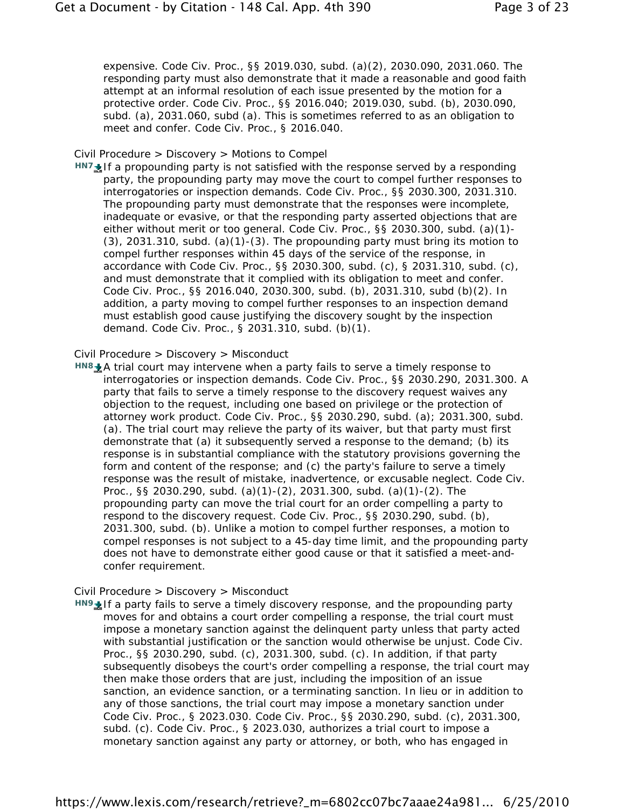expensive. Code Civ. Proc., §§ 2019.030, subd. (a)(2), 2030.090, 2031.060. The responding party must also demonstrate that it made a reasonable and good faith attempt at an informal resolution of each issue presented by the motion for a protective order. Code Civ. Proc., §§ 2016.040; 2019.030, subd. (b), 2030.090, subd. (a), 2031.060, subd (a). This is sometimes referred to as an obligation to meet and confer. Code Civ. Proc., § 2016.040.

#### Civil Procedure > Discovery > Motions to Compel

HN7 **I**f a propounding party is not satisfied with the response served by a responding party, the propounding party may move the court to compel further responses to interrogatories or inspection demands. Code Civ. Proc., §§ 2030.300, 2031.310. The propounding party must demonstrate that the responses were incomplete, inadequate or evasive, or that the responding party asserted objections that are either without merit or too general. Code Civ. Proc., §§ 2030.300, subd. (a)(1)-  $(3)$ , 2031.310, subd.  $(a)(1)-(3)$ . The propounding party must bring its motion to compel further responses within 45 days of the service of the response, in accordance with Code Civ. Proc., §§ 2030.300, subd. (c), § 2031.310, subd. (c), and must demonstrate that it complied with its obligation to meet and confer. Code Civ. Proc., §§ 2016.040, 2030.300, subd. (b), 2031.310, subd (b)(2). In addition, a party moving to compel further responses to an inspection demand must establish good cause justifying the discovery sought by the inspection demand. Code Civ. Proc., § 2031.310, subd. (b)(1).

#### Civil Procedure > Discovery > Misconduct

HN8<sup>+</sup> A trial court may intervene when a party fails to serve a timely response to interrogatories or inspection demands. Code Civ. Proc., §§ 2030.290, 2031.300. A party that fails to serve a timely response to the discovery request waives any objection to the request, including one based on privilege or the protection of attorney work product. Code Civ. Proc., §§ 2030.290, subd. (a); 2031.300, subd. (a). The trial court may relieve the party of its waiver, but that party must first demonstrate that (a) it subsequently served a response to the demand; (b) its response is in substantial compliance with the statutory provisions governing the form and content of the response; and (c) the party's failure to serve a timely response was the result of mistake, inadvertence, or excusable neglect. Code Civ. Proc., §§ 2030.290, subd. (a)(1)-(2), 2031.300, subd. (a)(1)-(2). The propounding party can move the trial court for an order compelling a party to respond to the discovery request. Code Civ. Proc., §§ 2030.290, subd. (b), 2031.300, subd. (b). Unlike a motion to compel further responses, a motion to compel responses is not subject to a 45-day time limit, and the propounding party does not have to demonstrate either good cause or that it satisfied a meet-andconfer requirement.

#### Civil Procedure > Discovery > Misconduct

HN9<sup>1</sup> If a party fails to serve a timely discovery response, and the propounding party moves for and obtains a court order compelling a response, the trial court must impose a monetary sanction against the delinquent party unless that party acted with substantial justification or the sanction would otherwise be unjust. Code Civ. Proc., §§ 2030.290, subd. (c), 2031.300, subd. (c). In addition, if that party subsequently disobeys the court's order compelling a response, the trial court may then make those orders that are just, including the imposition of an issue sanction, an evidence sanction, or a terminating sanction. In lieu or in addition to any of those sanctions, the trial court may impose a monetary sanction under Code Civ. Proc., § 2023.030. Code Civ. Proc., §§ 2030.290, subd. (c), 2031.300, subd. (c). Code Civ. Proc., § 2023.030, authorizes a trial court to impose a monetary sanction against any party or attorney, or both, who has engaged in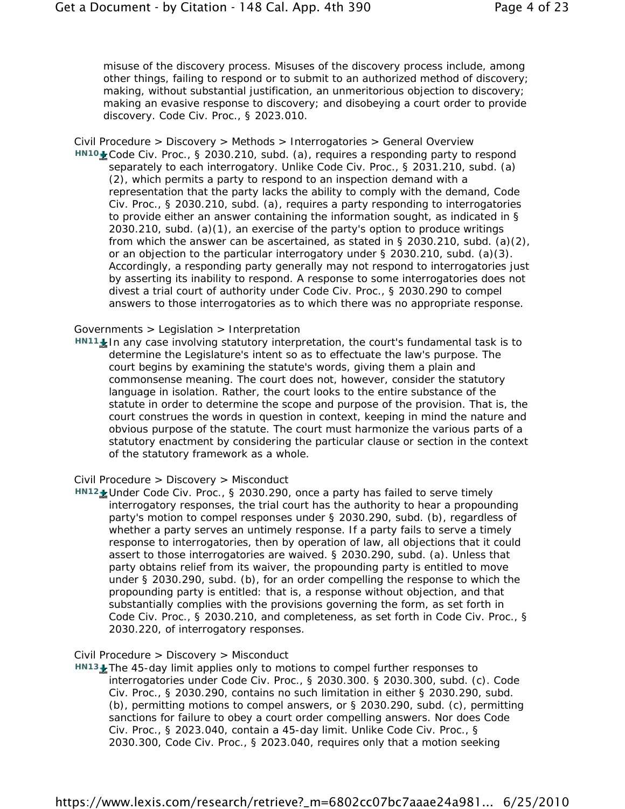misuse of the discovery process. Misuses of the discovery process include, among other things, failing to respond or to submit to an authorized method of discovery; making, without substantial justification, an unmeritorious objection to discovery; making an evasive response to discovery; and disobeying a court order to provide discovery. Code Civ. Proc., § 2023.010.

Civil Procedure > Discovery > Methods > Interrogatories > General Overview HN10<sup> **Code Civ. Proc., § 2030.210, subd. (a), requires a responding party to respond**</sup> separately to each interrogatory. Unlike Code Civ. Proc., § 2031.210, subd. (a) (2), which permits a party to respond to an inspection demand with a representation that the party lacks the ability to comply with the demand, Code Civ. Proc., § 2030.210, subd. (a), requires a party responding to interrogatories to provide either an answer containing the information sought, as indicated in § 2030.210, subd. (a)(1), an exercise of the party's option to produce writings from which the answer can be ascertained, as stated in § 2030.210, subd. (a)(2), or an objection to the particular interrogatory under § 2030.210, subd. (a)(3). Accordingly, a responding party generally may not respond to interrogatories just by asserting its inability to respond. A response to some interrogatories does not divest a trial court of authority under Code Civ. Proc., § 2030.290 to compel answers to those interrogatories as to which there was no appropriate response.

#### Governments > Legislation > Interpretation

HN<sub>11</sub> In any case involving statutory interpretation, the court's fundamental task is to determine the Legislature's intent so as to effectuate the law's purpose. The court begins by examining the statute's words, giving them a plain and commonsense meaning. The court does not, however, consider the statutory language in isolation. Rather, the court looks to the entire substance of the statute in order to determine the scope and purpose of the provision. That is, the court construes the words in question in context, keeping in mind the nature and obvious purpose of the statute. The court must harmonize the various parts of a statutory enactment by considering the particular clause or section in the context of the statutory framework as a whole.

#### Civil Procedure > Discovery > Misconduct

*HN12* Under Code Civ. Proc., § 2030.290, once a party has failed to serve timely interrogatory responses, the trial court has the authority to hear a propounding party's motion to compel responses under § 2030.290, subd. (b), regardless of whether a party serves an untimely response. If a party fails to serve a timely response to interrogatories, then by operation of law, all objections that it could assert to those interrogatories are waived. § 2030.290, subd. (a). Unless that party obtains relief from its waiver, the propounding party is entitled to move under § 2030.290, subd. (b), for an order compelling the response to which the propounding party is entitled: that is, a response without objection, and that substantially complies with the provisions governing the form, as set forth in Code Civ. Proc., § 2030.210, and completeness, as set forth in Code Civ. Proc., § 2030.220, of interrogatory responses.

#### Civil Procedure > Discovery > Misconduct

*HN13* The 45-day limit applies only to motions to compel further responses to interrogatories under Code Civ. Proc., § 2030.300. § 2030.300, subd. (c). Code Civ. Proc., § 2030.290, contains no such limitation in either § 2030.290, subd. (b), permitting motions to compel answers, or § 2030.290, subd. (c), permitting sanctions for failure to obey a court order compelling answers. Nor does Code Civ. Proc., § 2023.040, contain a 45-day limit. Unlike Code Civ. Proc., § 2030.300, Code Civ. Proc., § 2023.040, requires only that a motion seeking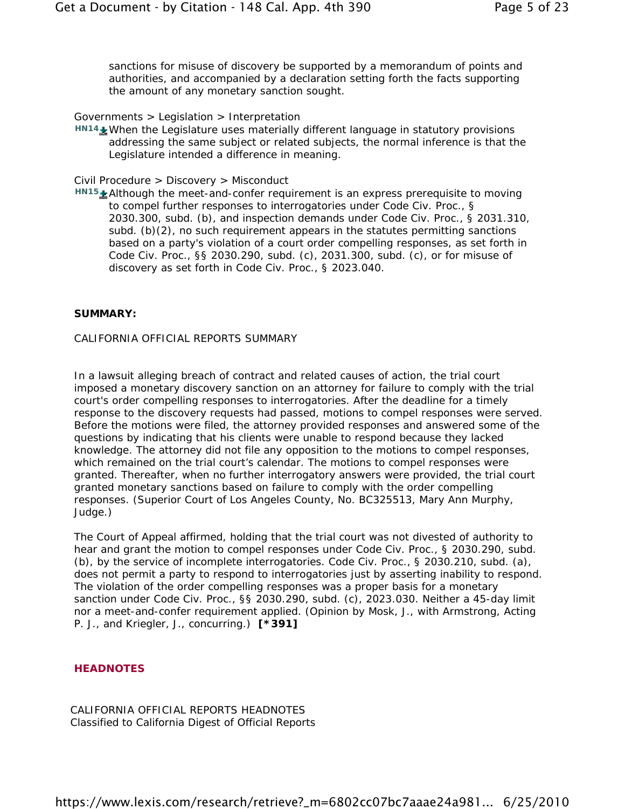sanctions for misuse of discovery be supported by a memorandum of points and authorities, and accompanied by a declaration setting forth the facts supporting the amount of any monetary sanction sought.

### Governments > Legislation > Interpretation

HN<sub>14</sub> When the Legislature uses materially different language in statutory provisions addressing the same subject or related subjects, the normal inference is that the Legislature intended a difference in meaning.

### Civil Procedure > Discovery > Misconduct

HN<sub>15</sub> Although the meet-and-confer requirement is an express prerequisite to moving to compel further responses to interrogatories under Code Civ. Proc., § 2030.300, subd. (b), and inspection demands under Code Civ. Proc., § 2031.310, subd. (b)(2), no such requirement appears in the statutes permitting sanctions based on a party's violation of a court order compelling responses, as set forth in Code Civ. Proc., §§ 2030.290, subd. (c), 2031.300, subd. (c), or for misuse of discovery as set forth in Code Civ. Proc., § 2023.040.

#### **SUMMARY:**

### CALIFORNIA OFFICIAL REPORTS SUMMARY

In a lawsuit alleging breach of contract and related causes of action, the trial court imposed a monetary discovery sanction on an attorney for failure to comply with the trial court's order compelling responses to interrogatories. After the deadline for a timely response to the discovery requests had passed, motions to compel responses were served. Before the motions were filed, the attorney provided responses and answered some of the questions by indicating that his clients were unable to respond because they lacked knowledge. The attorney did not file any opposition to the motions to compel responses, which remained on the trial court's calendar. The motions to compel responses were granted. Thereafter, when no further interrogatory answers were provided, the trial court granted monetary sanctions based on failure to comply with the order compelling responses. (Superior Court of Los Angeles County, No. BC325513, Mary Ann Murphy, Judge.)

The Court of Appeal affirmed, holding that the trial court was not divested of authority to hear and grant the motion to compel responses under Code Civ. Proc., § 2030.290, subd. (b), by the service of incomplete interrogatories. Code Civ. Proc., § 2030.210, subd. (a), does not permit a party to respond to interrogatories just by asserting inability to respond. The violation of the order compelling responses was a proper basis for a monetary sanction under Code Civ. Proc., §§ 2030.290, subd. (c), 2023.030. Neither a 45-day limit nor a meet-and-confer requirement applied. (Opinion by Mosk, J., with Armstrong, Acting P. J., and Kriegler, J., concurring.) **[\*391]**

#### **HEADNOTES**

CALIFORNIA OFFICIAL REPORTS HEADNOTES Classified to California Digest of Official Reports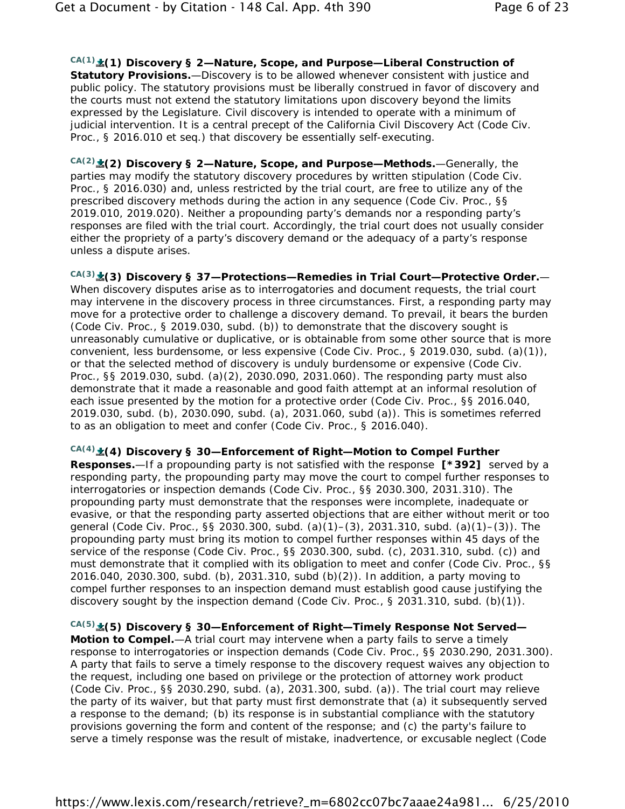*CA(1)* **(1) Discovery § 2—Nature, Scope, and Purpose—Liberal Construction of Statutory Provisions.**—Discovery is to be allowed whenever consistent with justice and public policy. The statutory provisions must be liberally construed in favor of discovery and the courts must not extend the statutory limitations upon discovery beyond the limits expressed by the Legislature. Civil discovery is intended to operate with a minimum of judicial intervention. It is a central precept of the California Civil Discovery Act (Code Civ. Proc., § 2016.010 et seq.) that discovery be essentially self-executing.

*CA(2)* **(2) Discovery § 2—Nature, Scope, and Purpose—Methods.**—Generally, the parties may modify the statutory discovery procedures by written stipulation (Code Civ. Proc., § 2016.030) and, unless restricted by the trial court, are free to utilize any of the prescribed discovery methods during the action in any sequence (Code Civ. Proc., §§ 2019.010, 2019.020). Neither a propounding party's demands nor a responding party's responses are filed with the trial court. Accordingly, the trial court does not usually consider either the propriety of a party's discovery demand or the adequacy of a party's response unless a dispute arises.

*CA(3)* **(3) Discovery § 37—Protections—Remedies in Trial Court—Protective Order.**— When discovery disputes arise as to interrogatories and document requests, the trial court may intervene in the discovery process in three circumstances. First, a responding party may move for a protective order to challenge a discovery demand. To prevail, it bears the burden (Code Civ. Proc., § 2019.030, subd. (b)) to demonstrate that the discovery sought is unreasonably cumulative or duplicative, or is obtainable from some other source that is more convenient, less burdensome, or less expensive (Code Civ. Proc., § 2019.030, subd. (a)(1)), or that the selected method of discovery is unduly burdensome or expensive (Code Civ. Proc., §§ 2019.030, subd. (a)(2), 2030.090, 2031.060). The responding party must also demonstrate that it made a reasonable and good faith attempt at an informal resolution of each issue presented by the motion for a protective order (Code Civ. Proc., §§ 2016.040, 2019.030, subd. (b), 2030.090, subd. (a), 2031.060, subd (a)). This is sometimes referred to as an obligation to meet and confer (Code Civ. Proc., § 2016.040).

# *CA(4)* **(4) Discovery § 30—Enforcement of Right—Motion to Compel Further**

**Responses.**—If a propounding party is not satisfied with the response **[\*392]** served by a responding party, the propounding party may move the court to compel further responses to interrogatories or inspection demands (Code Civ. Proc., §§ 2030.300, 2031.310). The propounding party must demonstrate that the responses were incomplete, inadequate or evasive, or that the responding party asserted objections that are either without merit or too general (Code Civ. Proc., §§ 2030.300, subd. (a)(1)–(3), 2031.310, subd. (a)(1)–(3)). The propounding party must bring its motion to compel further responses within 45 days of the service of the response (Code Civ. Proc., §§ 2030.300, subd. (c), 2031.310, subd. (c)) and must demonstrate that it complied with its obligation to meet and confer (Code Civ. Proc., §§ 2016.040, 2030.300, subd. (b), 2031.310, subd (b)(2)). In addition, a party moving to compel further responses to an inspection demand must establish good cause justifying the discovery sought by the inspection demand (Code Civ. Proc., § 2031.310, subd. (b)(1)).

*CA(5)* **(5) Discovery § 30—Enforcement of Right—Timely Response Not Served— Motion to Compel.**—A trial court may intervene when a party fails to serve a timely response to interrogatories or inspection demands (Code Civ. Proc., §§ 2030.290, 2031.300). A party that fails to serve a timely response to the discovery request waives any objection to the request, including one based on privilege or the protection of attorney work product (Code Civ. Proc., §§ 2030.290, subd. (a), 2031.300, subd. (a)). The trial court may relieve the party of its waiver, but that party must first demonstrate that (a) it subsequently served a response to the demand; (b) its response is in substantial compliance with the statutory provisions governing the form and content of the response; and (c) the party's failure to serve a timely response was the result of mistake, inadvertence, or excusable neglect (Code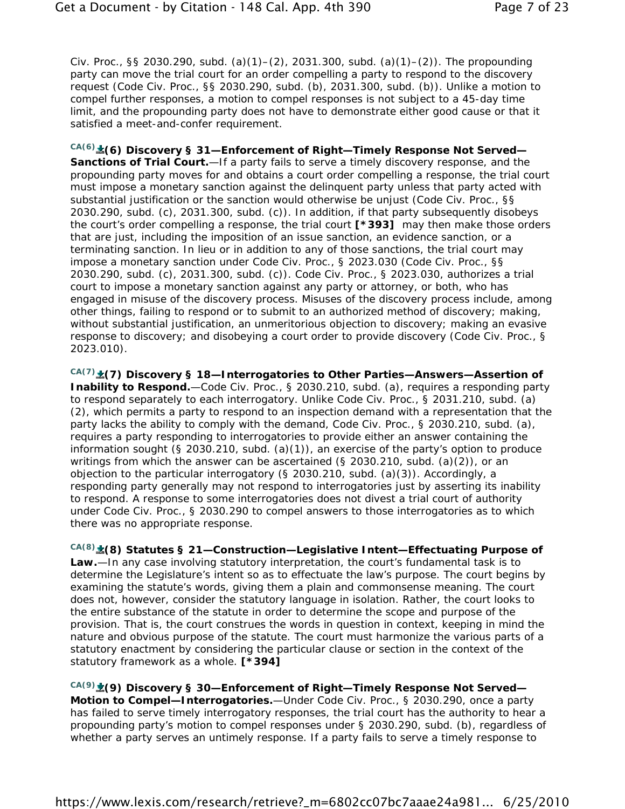Civ. Proc., §§ 2030.290, subd. (a)(1)–(2), 2031.300, subd. (a)(1)–(2)). The propounding party can move the trial court for an order compelling a party to respond to the discovery request (Code Civ. Proc., §§ 2030.290, subd. (b), 2031.300, subd. (b)). Unlike a motion to compel further responses, a motion to compel responses is not subject to a 45-day time limit, and the propounding party does not have to demonstrate either good cause or that it satisfied a meet-and-confer requirement.

*CA(6)* **(6) Discovery § 31—Enforcement of Right—Timely Response Not Served—**

Sanctions of Trial Court.-If a party fails to serve a timely discovery response, and the propounding party moves for and obtains a court order compelling a response, the trial court must impose a monetary sanction against the delinquent party unless that party acted with substantial justification or the sanction would otherwise be unjust (Code Civ. Proc., §§ 2030.290, subd. (c), 2031.300, subd. (c)). In addition, if that party subsequently disobeys the court's order compelling a response, the trial court **[\*393]** may then make those orders that are just, including the imposition of an issue sanction, an evidence sanction, or a terminating sanction. In lieu or in addition to any of those sanctions, the trial court may impose a monetary sanction under Code Civ. Proc., § 2023.030 (Code Civ. Proc., §§ 2030.290, subd. (c), 2031.300, subd. (c)). Code Civ. Proc., § 2023.030, authorizes a trial court to impose a monetary sanction against any party or attorney, or both, who has engaged in misuse of the discovery process. Misuses of the discovery process include, among other things, failing to respond or to submit to an authorized method of discovery; making, without substantial justification, an unmeritorious objection to discovery; making an evasive response to discovery; and disobeying a court order to provide discovery (Code Civ. Proc., § 2023.010).

*CA(7)* **(7) Discovery § 18—Interrogatories to Other Parties—Answers—Assertion of Inability to Respond.**—Code Civ. Proc., § 2030.210, subd. (a), requires a responding party to respond separately to each interrogatory. Unlike Code Civ. Proc., § 2031.210, subd. (a) (2), which permits a party to respond to an inspection demand with a representation that the party lacks the ability to comply with the demand, Code Civ. Proc., § 2030.210, subd. (a), requires a party responding to interrogatories to provide either an answer containing the information sought (§ 2030.210, subd. (a)(1)), an exercise of the party's option to produce writings from which the answer can be ascertained (§ 2030.210, subd. (a)(2)), or an objection to the particular interrogatory (§ 2030.210, subd. (a)(3)). Accordingly, a responding party generally may not respond to interrogatories just by asserting its inability to respond. A response to some interrogatories does not divest a trial court of authority under Code Civ. Proc., § 2030.290 to compel answers to those interrogatories as to which there was no appropriate response.

*CA(8)* **(8) Statutes § 21—Construction—Legislative Intent—Effectuating Purpose of Law.**—In any case involving statutory interpretation, the court's fundamental task is to determine the Legislature's intent so as to effectuate the law's purpose. The court begins by examining the statute's words, giving them a plain and commonsense meaning. The court does not, however, consider the statutory language in isolation. Rather, the court looks to the entire substance of the statute in order to determine the scope and purpose of the provision. That is, the court construes the words in question in context, keeping in mind the nature and obvious purpose of the statute. The court must harmonize the various parts of a statutory enactment by considering the particular clause or section in the context of the statutory framework as a whole. **[\*394]**

*CA(9)* **(9) Discovery § 30—Enforcement of Right—Timely Response Not Served— Motion to Compel—Interrogatories.**—Under Code Civ. Proc., § 2030.290, once a party has failed to serve timely interrogatory responses, the trial court has the authority to hear a propounding party's motion to compel responses under § 2030.290, subd. (b), regardless of whether a party serves an untimely response. If a party fails to serve a timely response to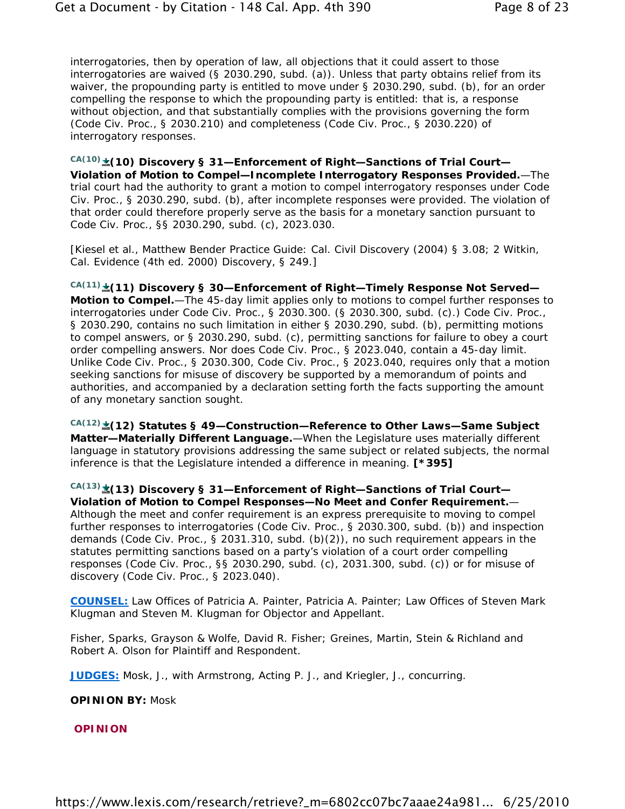interrogatories, then by operation of law, all objections that it could assert to those interrogatories are waived (§ 2030.290, subd. (a)). Unless that party obtains relief from its waiver, the propounding party is entitled to move under § 2030.290, subd. (b), for an order compelling the response to which the propounding party is entitled: that is, a response without objection, and that substantially complies with the provisions governing the form (Code Civ. Proc., § 2030.210) and completeness (Code Civ. Proc., § 2030.220) of interrogatory responses.

*CA(10)* **(10) Discovery § 31—Enforcement of Right—Sanctions of Trial Court— Violation of Motion to Compel—Incomplete Interrogatory Responses Provided.**—The trial court had the authority to grant a motion to compel interrogatory responses under Code Civ. Proc., § 2030.290, subd. (b), after incomplete responses were provided. The violation of that order could therefore properly serve as the basis for a monetary sanction pursuant to Code Civ. Proc., §§ 2030.290, subd. (c), 2023.030.

[Kiesel et al., Matthew Bender Practice Guide: Cal. Civil Discovery (2004) § 3.08; 2 Witkin, Cal. Evidence (4th ed. 2000) Discovery, § 249.]

*CA(11)* **(11) Discovery § 30—Enforcement of Right—Timely Response Not Served— Motion to Compel.**—The 45-day limit applies only to motions to compel further responses to interrogatories under Code Civ. Proc., § 2030.300. (§ 2030.300, subd. (c).) Code Civ. Proc., § 2030.290, contains no such limitation in either § 2030.290, subd. (b), permitting motions to compel answers, or § 2030.290, subd. (c), permitting sanctions for failure to obey a court order compelling answers. Nor does Code Civ. Proc., § 2023.040, contain a 45-day limit. Unlike Code Civ. Proc., § 2030.300, Code Civ. Proc., § 2023.040, requires only that a motion seeking sanctions for misuse of discovery be supported by a memorandum of points and authorities, and accompanied by a declaration setting forth the facts supporting the amount of any monetary sanction sought.

*CA(12)* **(12) Statutes § 49—Construction—Reference to Other Laws—Same Subject Matter—Materially Different Language.**—When the Legislature uses materially different language in statutory provisions addressing the same subject or related subjects, the normal inference is that the Legislature intended a difference in meaning. **[\*395]**

*CA(13)* **(13) Discovery § 31—Enforcement of Right—Sanctions of Trial Court— Violation of Motion to Compel Responses—No Meet and Confer Requirement.**— Although the meet and confer requirement is an express prerequisite to moving to compel further responses to interrogatories (Code Civ. Proc., § 2030.300, subd. (b)) and inspection demands (Code Civ. Proc., § 2031.310, subd. (b)(2)), no such requirement appears in the statutes permitting sanctions based on a party's violation of a court order compelling responses (Code Civ. Proc., §§ 2030.290, subd. (c), 2031.300, subd. (c)) or for misuse of discovery (Code Civ. Proc., § 2023.040).

**COUNSEL:** Law Offices of Patricia A. Painter, Patricia A. Painter; Law Offices of Steven Mark Klugman and Steven M. Klugman for Objector and Appellant.

Fisher, Sparks, Grayson & Wolfe, David R. Fisher; Greines, Martin, Stein & Richland and Robert A. Olson for Plaintiff and Respondent.

**JUDGES:** Mosk, J., with Armstrong, Acting P. J., and Kriegler, J., concurring.

**OPINION BY:** Mosk

**OPINION**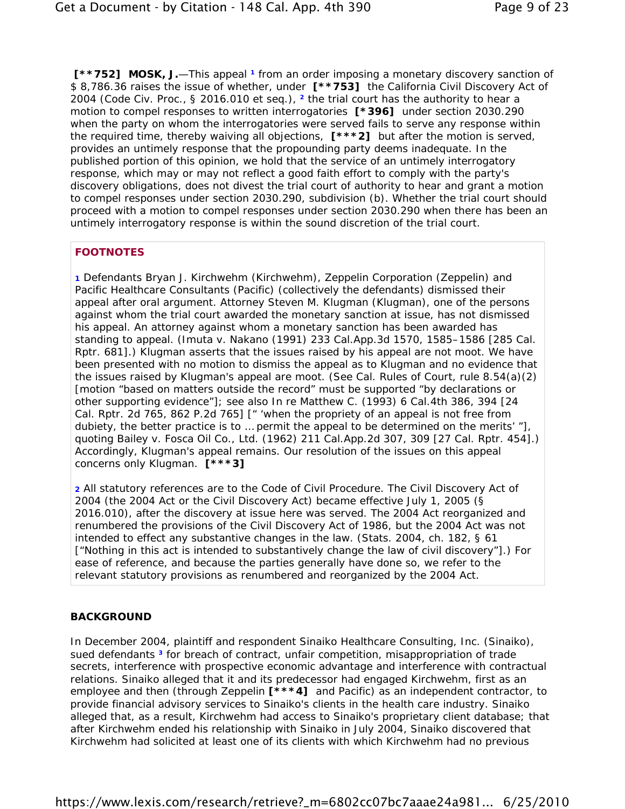**[\*\*752] MOSK, J.**—This appeal **1** from an order imposing a monetary discovery sanction of \$ 8,786.36 raises the issue of whether, under **[\*\*753]** the California Civil Discovery Act of 2004 (Code Civ. Proc., § 2016.010 et seq.), **2** the trial court has the authority to hear a motion to compel responses to written interrogatories **[\*396]** under section 2030.290 when the party on whom the interrogatories were served fails to serve any response within the required time, thereby waiving all objections, **[\*\*\*2]** but after the motion is served, provides an untimely response that the propounding party deems inadequate. In the published portion of this opinion, we hold that the service of an untimely interrogatory response, which may or may not reflect a good faith effort to comply with the party's discovery obligations, does not divest the trial court of authority to hear and grant a motion to compel responses under section 2030.290, subdivision (b). Whether the trial court should proceed with a motion to compel responses under section 2030.290 when there has been an untimely interrogatory response is within the sound discretion of the trial court.

### **FOOTNOTES**

**1** Defendants Bryan J. Kirchwehm (Kirchwehm), Zeppelin Corporation (Zeppelin) and Pacific Healthcare Consultants (Pacific) (collectively the defendants) dismissed their appeal after oral argument. Attorney Steven M. Klugman (Klugman), one of the persons against whom the trial court awarded the monetary sanction at issue, has not dismissed his appeal. An attorney against whom a monetary sanction has been awarded has standing to appeal. (*Imuta v. Nakano* (1991) 233 Cal.App.3d 1570, 1585–1586 [285 Cal. Rptr. 681].) Klugman asserts that the issues raised by his appeal are not moot. We have been presented with no motion to dismiss the appeal as to Klugman and no evidence that the issues raised by Klugman's appeal are moot. (See Cal. Rules of Court, rule 8.54(a)(2) [motion "based on matters outside the record" must be supported "by declarations or other supporting evidence"]; see also *In re Matthew C.* (1993) 6 Cal.4th 386, 394 [24 Cal. Rptr. 2d 765, 862 P.2d 765] [" 'when the propriety of an appeal is not free from dubiety, the better practice is to … permit the appeal to be determined on the merits' "], quoting *Bailey v. Fosca Oil Co., Ltd.* (1962) 211 Cal.App.2d 307, 309 [27 Cal. Rptr. 454].) Accordingly, Klugman's appeal remains. Our resolution of the issues on this appeal concerns only Klugman. **[\*\*\*3]**

**2** All statutory references are to the Code of Civil Procedure. The Civil Discovery Act of 2004 (the 2004 Act or the Civil Discovery Act) became effective July 1, 2005 (§ 2016.010), after the discovery at issue here was served. The 2004 Act reorganized and renumbered the provisions of the Civil Discovery Act of 1986, but the 2004 Act was not intended to effect any substantive changes in the law. (Stats. 2004, ch. 182, § 61 ["Nothing in this act is intended to substantively change the law of civil discovery"].) For ease of reference, and because the parties generally have done so, we refer to the relevant statutory provisions as renumbered and reorganized by the 2004 Act.

#### **BACKGROUND**

In December 2004, plaintiff and respondent Sinaiko Healthcare Consulting, Inc. (Sinaiko), sued defendants **3** for breach of contract, unfair competition, misappropriation of trade secrets, interference with prospective economic advantage and interference with contractual relations. Sinaiko alleged that it and its predecessor had engaged Kirchwehm, first as an employee and then (through Zeppelin **[\*\*\*4]** and Pacific) as an independent contractor, to provide financial advisory services to Sinaiko's clients in the health care industry. Sinaiko alleged that, as a result, Kirchwehm had access to Sinaiko's proprietary client database; that after Kirchwehm ended his relationship with Sinaiko in July 2004, Sinaiko discovered that Kirchwehm had solicited at least one of its clients with which Kirchwehm had no previous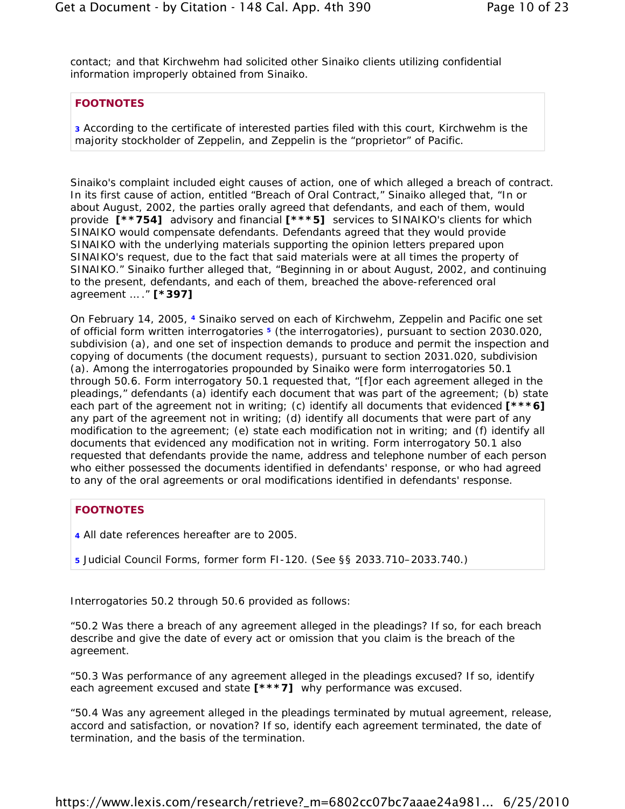contact; and that Kirchwehm had solicited other Sinaiko clients utilizing confidential information improperly obtained from Sinaiko.

### **FOOTNOTES**

**3** According to the certificate of interested parties filed with this court, Kirchwehm is the majority stockholder of Zeppelin, and Zeppelin is the "proprietor" of Pacific.

Sinaiko's complaint included eight causes of action, one of which alleged a breach of contract. In its first cause of action, entitled "Breach of Oral Contract," Sinaiko alleged that, "In or about August, 2002, the parties orally agreed that defendants, and each of them, would provide **[\*\*754]** advisory and financial **[\*\*\*5]** services to SINAIKO's clients for which SINAIKO would compensate defendants. Defendants agreed that they would provide SINAIKO with the underlying materials supporting the opinion letters prepared upon SINAIKO's request, due to the fact that said materials were at all times the property of SINAIKO." Sinaiko further alleged that, "Beginning in or about August, 2002, and continuing to the present, defendants, and each of them, breached the above-referenced oral agreement … ." **[\*397]**

On February 14, 2005, **4** Sinaiko served on each of Kirchwehm, Zeppelin and Pacific one set of official form written interrogatories **5** (the interrogatories), pursuant to section 2030.020, subdivision (a), and one set of inspection demands to produce and permit the inspection and copying of documents (the document requests), pursuant to section 2031.020, subdivision (a). Among the interrogatories propounded by Sinaiko were form interrogatories 50.1 through 50.6. Form interrogatory 50.1 requested that, "[f]or each agreement alleged in the pleadings," defendants (a) identify each document that was part of the agreement; (b) state each part of the agreement not in writing; (c) identify all documents that evidenced **[\*\*\*6]** any part of the agreement not in writing; (d) identify all documents that were part of any modification to the agreement; (e) state each modification not in writing; and (f) identify all documents that evidenced any modification not in writing. Form interrogatory 50.1 also requested that defendants provide the name, address and telephone number of each person who either possessed the documents identified in defendants' response, or who had agreed to any of the oral agreements or oral modifications identified in defendants' response.

#### **FOOTNOTES**

- **4** All date references hereafter are to 2005.
- **5** Judicial Council Forms, former form FI-120. (See §§ 2033.710–2033.740.)

Interrogatories 50.2 through 50.6 provided as follows:

"50.2 Was there a breach of any agreement alleged in the pleadings? If so, for each breach describe and give the date of every act or omission that you claim is the breach of the agreement.

"50.3 Was performance of any agreement alleged in the pleadings excused? If so, identify each agreement excused and state **[\*\*\*7]** why performance was excused.

"50.4 Was any agreement alleged in the pleadings terminated by mutual agreement, release, accord and satisfaction, or novation? If so, identify each agreement terminated, the date of termination, and the basis of the termination.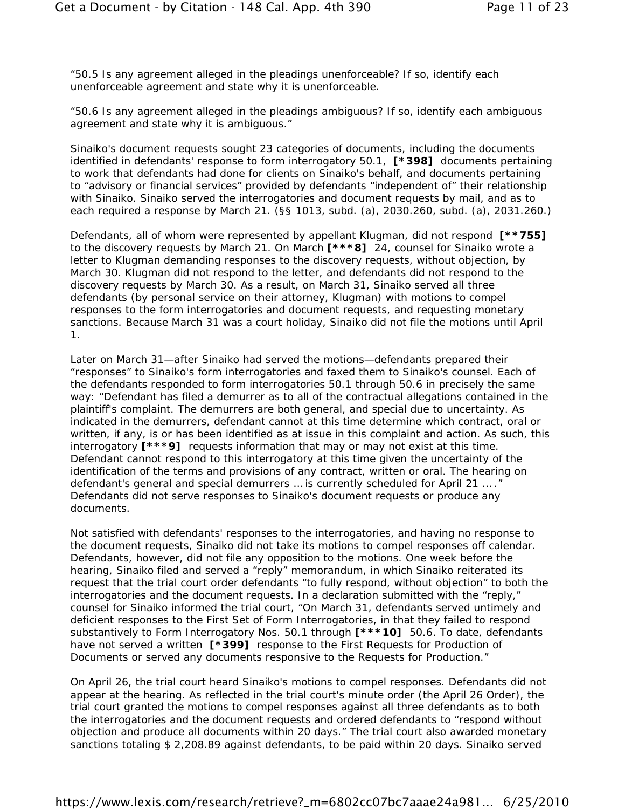"50.5 Is any agreement alleged in the pleadings unenforceable? If so, identify each unenforceable agreement and state why it is unenforceable.

"50.6 Is any agreement alleged in the pleadings ambiguous? If so, identify each ambiguous agreement and state why it is ambiguous."

Sinaiko's document requests sought 23 categories of documents, including the documents identified in defendants' response to form interrogatory 50.1, **[\*398]** documents pertaining to work that defendants had done for clients on Sinaiko's behalf, and documents pertaining to "advisory or financial services" provided by defendants "independent of" their relationship with Sinaiko. Sinaiko served the interrogatories and document requests by mail, and as to each required a response by March 21. (§§ 1013, subd. (a), 2030.260, subd. (a), 2031.260.)

Defendants, all of whom were represented by appellant Klugman, did not respond **[\*\*755]** to the discovery requests by March 21. On March **[\*\*\*8]** 24, counsel for Sinaiko wrote a letter to Klugman demanding responses to the discovery requests, without objection, by March 30. Klugman did not respond to the letter, and defendants did not respond to the discovery requests by March 30. As a result, on March 31, Sinaiko served all three defendants (by personal service on their attorney, Klugman) with motions to compel responses to the form interrogatories and document requests, and requesting monetary sanctions. Because March 31 was a court holiday, Sinaiko did not file the motions until April 1.

Later on March 31—after Sinaiko had served the motions—defendants prepared their "responses" to Sinaiko's form interrogatories and faxed them to Sinaiko's counsel. Each of the defendants responded to form interrogatories 50.1 through 50.6 in precisely the same way: "Defendant has filed a demurrer as to all of the contractual allegations contained in the plaintiff's complaint. The demurrers are both general, and special due to uncertainty. As indicated in the demurrers, defendant cannot at this time determine which contract, oral or written, if any, is or has been identified as at issue in this complaint and action. As such, this interrogatory **[\*\*\*9]** requests information that may or may not exist at this time. Defendant cannot respond to this interrogatory at this time given the uncertainty of the identification of the terms and provisions of any contract, written or oral. The hearing on defendant's general and special demurrers … is currently scheduled for April 21 … ." Defendants did not serve responses to Sinaiko's document requests or produce any documents.

Not satisfied with defendants' responses to the interrogatories, and having no response to the document requests, Sinaiko did not take its motions to compel responses off calendar. Defendants, however, did not file any opposition to the motions. One week before the hearing, Sinaiko filed and served a "reply" memorandum, in which Sinaiko reiterated its request that the trial court order defendants "to fully respond, without objection" to both the interrogatories and the document requests. In a declaration submitted with the "reply," counsel for Sinaiko informed the trial court, "On March 31, defendants served untimely and deficient responses to the First Set of Form Interrogatories, in that they failed to respond substantively to Form Interrogatory Nos. 50.1 through **[\*\*\*10]** 50.6. To date, defendants have not served a written **[\*399]** response to the First Requests for Production of Documents or served any documents responsive to the Requests for Production."

On April 26, the trial court heard Sinaiko's motions to compel responses. Defendants did not appear at the hearing. As reflected in the trial court's minute order (the April 26 Order), the trial court granted the motions to compel responses against all three defendants as to both the interrogatories and the document requests and ordered defendants to "respond without objection and produce all documents within 20 days." The trial court also awarded monetary sanctions totaling \$ 2,208.89 against defendants, to be paid within 20 days. Sinaiko served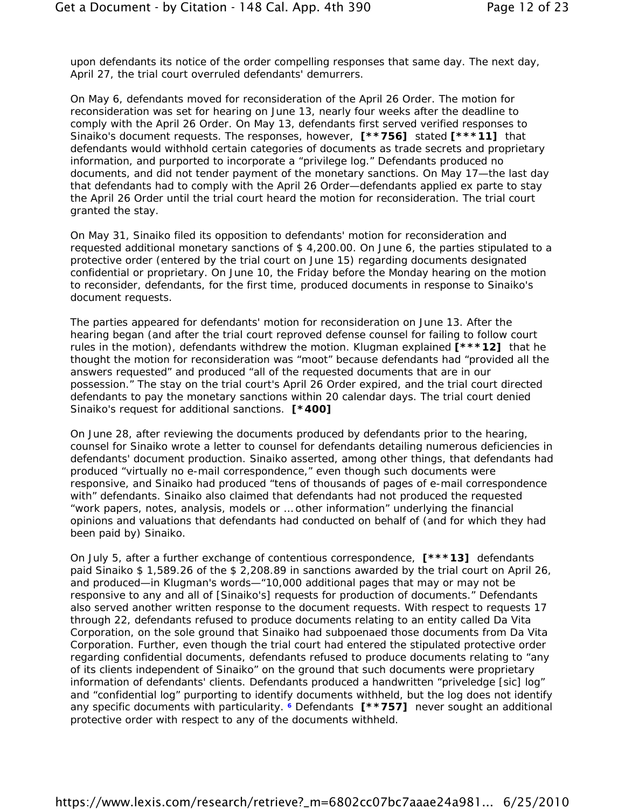upon defendants its notice of the order compelling responses that same day. The next day, April 27, the trial court overruled defendants' demurrers.

On May 6, defendants moved for reconsideration of the April 26 Order. The motion for reconsideration was set for hearing on June 13, nearly four weeks after the deadline to comply with the April 26 Order. On May 13, defendants first served verified responses to Sinaiko's document requests. The responses, however, **[\*\*756]** stated **[\*\*\*11]** that defendants would withhold certain categories of documents as trade secrets and proprietary information, and purported to incorporate a "privilege log." Defendants produced no documents, and did not tender payment of the monetary sanctions. On May 17—the last day that defendants had to comply with the April 26 Order—defendants applied ex parte to stay the April 26 Order until the trial court heard the motion for reconsideration. The trial court granted the stay.

On May 31, Sinaiko filed its opposition to defendants' motion for reconsideration and requested additional monetary sanctions of \$ 4,200.00. On June 6, the parties stipulated to a protective order (entered by the trial court on June 15) regarding documents designated confidential or proprietary. On June 10, the Friday before the Monday hearing on the motion to reconsider, defendants, for the first time, produced documents in response to Sinaiko's document requests.

The parties appeared for defendants' motion for reconsideration on June 13. After the hearing began (and after the trial court reproved defense counsel for failing to follow court rules in the motion), defendants withdrew the motion. Klugman explained **[\*\*\*12]** that he thought the motion for reconsideration was "moot" because defendants had "provided all the answers requested" and produced "all of the requested documents that are in our possession." The stay on the trial court's April 26 Order expired, and the trial court directed defendants to pay the monetary sanctions within 20 calendar days. The trial court denied Sinaiko's request for additional sanctions. **[\*400]**

On June 28, after reviewing the documents produced by defendants prior to the hearing, counsel for Sinaiko wrote a letter to counsel for defendants detailing numerous deficiencies in defendants' document production. Sinaiko asserted, among other things, that defendants had produced "virtually no e-mail correspondence," even though such documents were responsive, and Sinaiko had produced "tens of thousands of pages of e-mail correspondence with" defendants. Sinaiko also claimed that defendants had not produced the requested "work papers, notes, analysis, models or … other information" underlying the financial opinions and valuations that defendants had conducted on behalf of (and for which they had been paid by) Sinaiko.

On July 5, after a further exchange of contentious correspondence, **[\*\*\*13]** defendants paid Sinaiko \$ 1,589.26 of the \$ 2,208.89 in sanctions awarded by the trial court on April 26, and produced—in Klugman's words—"10,000 additional pages that may or may not be responsive to any and all of [Sinaiko's] requests for production of documents." Defendants also served another written response to the document requests. With respect to requests 17 through 22, defendants refused to produce documents relating to an entity called Da Vita Corporation, on the sole ground that Sinaiko had subpoenaed those documents from Da Vita Corporation. Further, even though the trial court had entered the stipulated protective order regarding confidential documents, defendants refused to produce documents relating to "any of its clients independent of Sinaiko" on the ground that such documents were proprietary information of defendants' clients. Defendants produced a handwritten "priveledge [*sic*] log" and "confidential log" purporting to identify documents withheld, but the log does not identify any specific documents with particularity. **6** Defendants **[\*\*757]** never sought an additional protective order with respect to any of the documents withheld.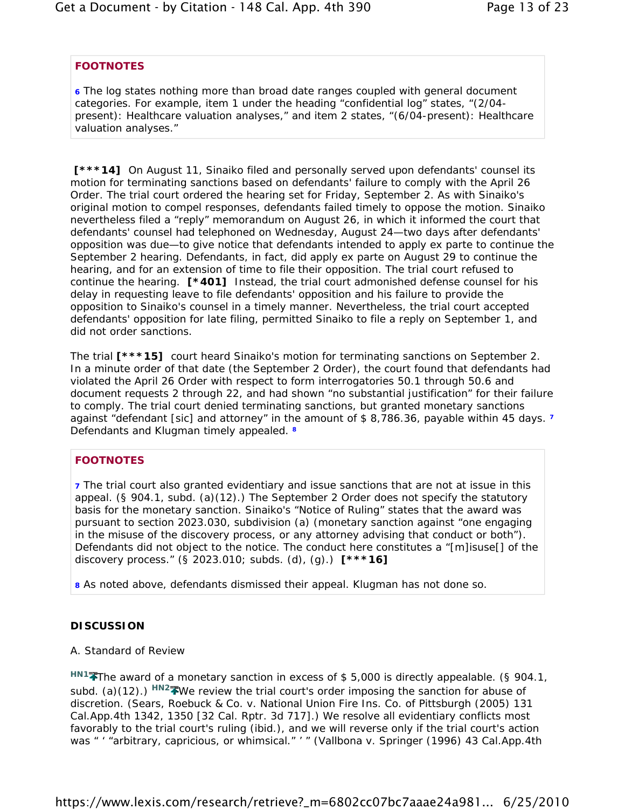### **FOOTNOTES**

**6** The log states nothing more than broad date ranges coupled with general document categories. For example, item 1 under the heading "confidential log" states, "(2/04 present): Healthcare valuation analyses," and item 2 states, "(6/04-present): Healthcare valuation analyses."

**[\*\*\*14]** On August 11, Sinaiko filed and personally served upon defendants' counsel its motion for terminating sanctions based on defendants' failure to comply with the April 26 Order. The trial court ordered the hearing set for Friday, September 2. As with Sinaiko's original motion to compel responses, defendants failed timely to oppose the motion. Sinaiko nevertheless filed a "reply" memorandum on August 26, in which it informed the court that defendants' counsel had telephoned on Wednesday, August 24—two days *after* defendants' opposition was due—to give notice that defendants intended to apply ex parte to continue the September 2 hearing. Defendants, in fact, did apply ex parte on August 29 to continue the hearing, and for an extension of time to file their opposition. The trial court refused to continue the hearing. **[\*401]** Instead, the trial court admonished defense counsel for his delay in requesting leave to file defendants' opposition and his failure to provide the opposition to Sinaiko's counsel in a timely manner. Nevertheless, the trial court accepted defendants' opposition for late filing, permitted Sinaiko to file a reply on September 1, and did not order sanctions.

The trial **[\*\*\*15]** court heard Sinaiko's motion for terminating sanctions on September 2. In a minute order of that date (the September 2 Order), the court found that defendants had violated the April 26 Order with respect to form interrogatories 50.1 through 50.6 and document requests 2 through 22, and had shown "no substantial justification" for their failure to comply. The trial court denied terminating sanctions, but granted monetary sanctions against "defendant [*sic*] and attorney" in the amount of \$ 8,786.36, payable within 45 days. **<sup>7</sup>** Defendants and Klugman timely appealed. **<sup>8</sup>**

## **FOOTNOTES**

**7** The trial court also granted evidentiary and issue sanctions that are not at issue in this appeal. (§ 904.1, subd. (a)(12).) The September 2 Order does not specify the statutory basis for the monetary sanction. Sinaiko's "Notice of Ruling" states that the award was pursuant to section 2023.030, subdivision (a) (monetary sanction against "one engaging in the misuse of the discovery process, or any attorney advising that conduct or both"). Defendants did not object to the notice. The conduct here constitutes a "[m]isuse[] of the discovery process." (§ 2023.010; subds. (d), (g).) **[\*\*\*16]**

**8** As noted above, defendants dismissed their appeal. Klugman has not done so.

## **DISCUSSION**

#### A. *Standard of Review*

*HN1* The award of a monetary sanction in excess of \$ 5,000 is directly appealable. (§ 904.1, subd. (a)(12).) <sup>HN2</sup><sup>2</sup>We review the trial court's order imposing the sanction for abuse of discretion. (*Sears, Roebuck & Co. v. National Union Fire Ins. Co. of Pittsburgh* (2005) 131 Cal.App.4th 1342, 1350 [32 Cal. Rptr. 3d 717].) We resolve all evidentiary conflicts most favorably to the trial court's ruling (*ibid.*), and we will reverse only if the trial court's action was " ' "arbitrary, capricious, or whimsical." ' " (*Vallbona v. Springer* (1996) 43 Cal.App.4th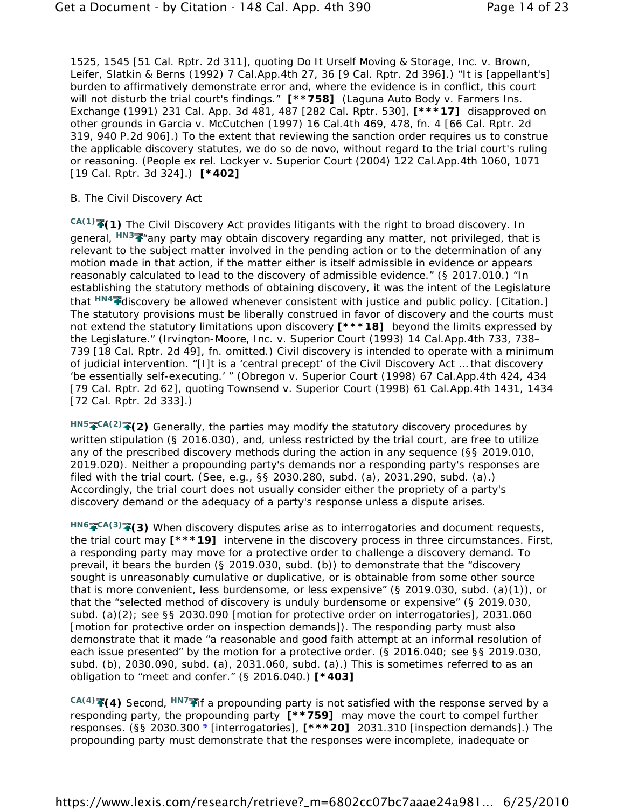1525, 1545 [51 Cal. Rptr. 2d 311], quoting *Do It Urself Moving & Storage, Inc. v. Brown, Leifer, Slatkin & Berns* (1992) 7 Cal.App.4th 27, 36 [9 Cal. Rptr. 2d 396].) "It is [appellant's] burden to affirmatively demonstrate error and, where the evidence is in conflict, this court will not disturb the trial court's findings." **[\*\*758]** (*Laguna Auto Body v. Farmers Ins. Exchange* (1991) 231 Cal. App. 3d 481, 487 [282 Cal. Rptr. 530], **[\*\*\*17]** disapproved on other grounds in *Garcia v. McCutchen* (1997) 16 Cal.4th 469, 478, fn. 4 [66 Cal. Rptr. 2d 319, 940 P.2d 906].) To the extent that reviewing the sanction order requires us to construe the applicable discovery statutes, we do so de novo, without regard to the trial court's ruling or reasoning. (*People ex rel. Lockyer v. Superior Court* (2004) 122 Cal.App.4th 1060, 1071 [19 Cal. Rptr. 3d 324].) **[\*402]**

#### B. *The Civil Discovery Act*

*CA(1)* **(1)** The Civil Discovery Act provides litigants with the right to broad discovery. In general, *HN3* "any party may obtain discovery regarding any matter, not privileged, that is relevant to the subject matter involved in the pending action or to the determination of any motion made in that action, if the matter either is itself admissible in evidence or appears reasonably calculated to lead to the discovery of admissible evidence." (§ 2017.010.) "In establishing the statutory methods of obtaining discovery, it was the intent of the Legislature that <sup>HN4</sup> Idiscovery be allowed whenever consistent with justice and public policy. [Citation.] The statutory provisions must be liberally construed in favor of discovery and the courts must not extend the statutory limitations upon discovery **[\*\*\*18]** beyond the limits expressed by the Legislature." (*Irvington-Moore, Inc. v. Superior Court* (1993) 14 Cal.App.4th 733, 738– 739 [18 Cal. Rptr. 2d 49], fn. omitted.) Civil discovery is intended to operate with a minimum of judicial intervention. "[I]t is a 'central precept' of the Civil Discovery Act … that discovery 'be essentially self-executing.' " (*Obregon v. Superior Court* (1998) 67 Cal.App.4th 424, 434 [79 Cal. Rptr. 2d 62], quoting *Townsend v. Superior Court* (1998) 61 Cal.App.4th 1431, 1434 [72 Cal. Rptr. 2d 333].)

*HN5 CA(2)* **(2)** Generally, the parties may modify the statutory discovery procedures by written stipulation (§ 2016.030), and, unless restricted by the trial court, are free to utilize any of the prescribed discovery methods during the action in any sequence (§§ 2019.010, 2019.020). Neither a propounding party's demands nor a responding party's responses are filed with the trial court. (See, e.g., §§ 2030.280, subd. (a), 2031.290, subd. (a).) Accordingly, the trial court does not usually consider either the propriety of a party's discovery demand or the adequacy of a party's response unless a dispute arises.

*HN6 CA(3)* **(3)** When discovery disputes arise as to interrogatories and document requests, the trial court may **[\*\*\*19]** intervene in the discovery process in three circumstances. First, a responding party may move for a protective order to challenge a discovery demand. To prevail, it bears the burden (§ 2019.030, subd. (b)) to demonstrate that the "discovery sought is unreasonably cumulative or duplicative, or is obtainable from some other source that is more convenient, less burdensome, or less expensive" (§ 2019.030, subd. (a)(1)), or that the "selected method of discovery is unduly burdensome or expensive" (§ 2019.030, subd. (a)(2); see §§ 2030.090 [motion for protective order on interrogatories], 2031.060 [motion for protective order on inspection demands]). The responding party must also demonstrate that it made "a reasonable and good faith attempt at an informal resolution of each issue presented" by the motion for a protective order. (§ 2016.040; see §§ 2019.030, subd. (b), 2030.090, subd. (a), 2031.060, subd. (a).) This is sometimes referred to as an obligation to "meet and confer." (§ 2016.040.) **[\*403]**

*CA(4)* **(4)** Second, *HN7* if a propounding party is not satisfied with the response served by a responding party, the propounding party **[\*\*759]** may move the court to compel further responses. (§§ 2030.300 **9** [interrogatories], **[\*\*\*20]** 2031.310 [inspection demands].) The propounding party must demonstrate that the responses were incomplete, inadequate or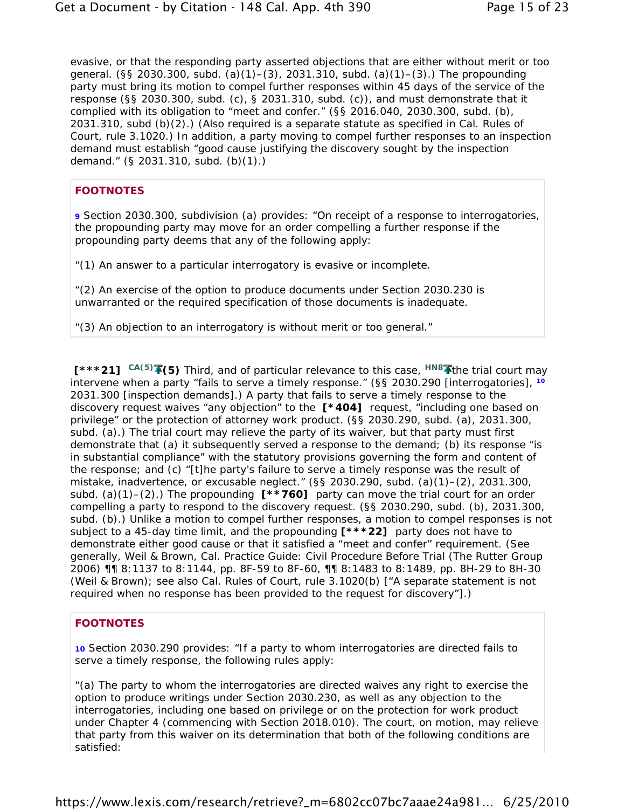evasive, or that the responding party asserted objections that are either without merit or too general. (§§ 2030.300, subd. (a)(1)–(3), 2031.310, subd. (a)(1)–(3).) The propounding party must bring its motion to compel further responses within 45 days of the service of the response (§§ 2030.300, subd. (c), § 2031.310, subd. (c)), and must demonstrate that it complied with its obligation to "meet and confer." (§§ 2016.040, 2030.300, subd. (b), 2031.310, subd (b)(2).) (Also required is a separate statute as specified in Cal. Rules of Court, rule 3.1020.) In addition, a party moving to compel further responses to an inspection demand must establish "good cause justifying the discovery sought by the inspection demand." (§ 2031.310, subd. (b)(1).)

### **FOOTNOTES**

**9** Section 2030.300, subdivision (a) provides: "On receipt of a response to interrogatories, the propounding party may move for an order compelling a further response if the propounding party deems that any of the following apply:

"(1) An answer to a particular interrogatory is evasive or incomplete.

"(2) An exercise of the option to produce documents under Section 2030.230 is unwarranted or the required specification of those documents is inadequate.

"(3) An objection to an interrogatory is without merit or too general."

**[\*\*\*21]** *CA(5)* **(5)** Third, and of particular relevance to this case, *HN8* the trial court may intervene when a party "fails to serve a timely response." (§§ 2030.290 [interrogatories], **<sup>10</sup>** 2031.300 [inspection demands].) A party that fails to serve a timely response to the discovery request waives "any objection" to the **[\*404]** request, "including one based on privilege" or the protection of attorney work product. (§§ 2030.290, subd. (a), 2031.300, subd. (a).) The trial court may relieve the party of its waiver, but that party must first demonstrate that (a) it subsequently served a response to the demand; (b) its response "is in substantial compliance" with the statutory provisions governing the form and content of the response; and (c) "[t]he party's failure to serve a timely response was the result of mistake, inadvertence, or excusable neglect." (§§ 2030.290, subd. (a)(1)–(2), 2031.300, subd. (a)(1)–(2).) The propounding **[\*\*760]** party can move the trial court for an order compelling a party to respond to the discovery request. (§§ 2030.290, subd. (b), 2031.300, subd. (b).) Unlike a motion to compel *further* responses, a motion to compel responses is not subject to a 45-day time limit, and the propounding **[\*\*\*22]** party does not have to demonstrate either good cause or that it satisfied a "meet and confer" requirement. (See generally, Weil & Brown, Cal. Practice Guide: Civil Procedure Before Trial (The Rutter Group 2006) ¶¶ 8:1137 to 8:1144, pp. 8F-59 to 8F-60, ¶¶ 8:1483 to 8:1489, pp. 8H-29 to 8H-30 (Weil & Brown); see also Cal. Rules of Court, rule 3.1020(b) ["A separate statement is not required when no response has been provided to the request for discovery"].)

## **FOOTNOTES**

**10** Section 2030.290 provides: "If a party to whom interrogatories are directed fails to serve a timely response, the following rules apply:

"(a) The party to whom the interrogatories are directed waives any right to exercise the option to produce writings under Section 2030.230, as well as any objection to the interrogatories, including one based on privilege or on the protection for work product under Chapter 4 (commencing with Section 2018.010). The court, on motion, may relieve that party from this waiver on its determination that both of the following conditions are satisfied: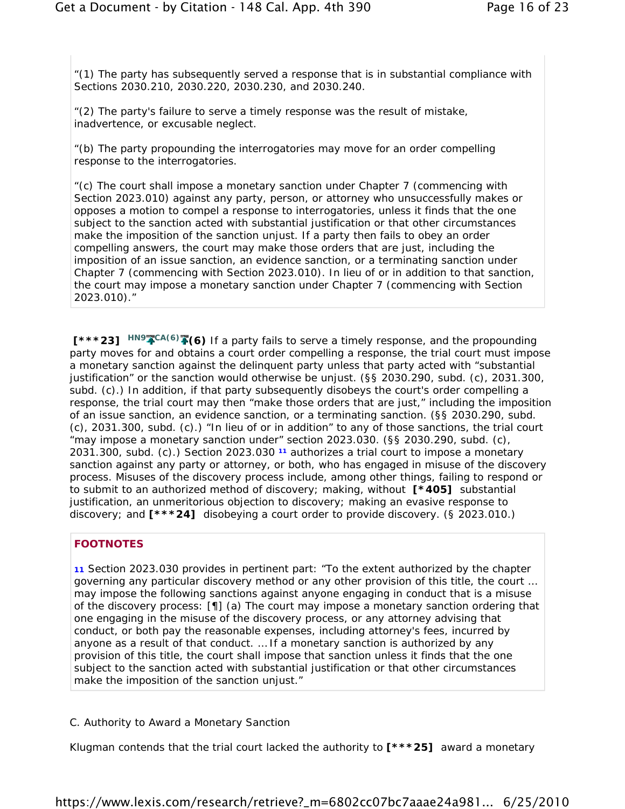"(1) The party has subsequently served a response that is in substantial compliance with Sections 2030.210, 2030.220, 2030.230, and 2030.240.

"(2) The party's failure to serve a timely response was the result of mistake, inadvertence, or excusable neglect.

"(b) The party propounding the interrogatories may move for an order compelling response to the interrogatories.

"(c) The court shall impose a monetary sanction under Chapter 7 (commencing with Section 2023.010) against any party, person, or attorney who unsuccessfully makes or opposes a motion to compel a response to interrogatories, unless it finds that the one subject to the sanction acted with substantial justification or that other circumstances make the imposition of the sanction unjust. If a party then fails to obey an order compelling answers, the court may make those orders that are just, including the imposition of an issue sanction, an evidence sanction, or a terminating sanction under Chapter 7 (commencing with Section 2023.010). In lieu of or in addition to that sanction, the court may impose a monetary sanction under Chapter 7 (commencing with Section 2023.010)."

**[\*\*\*23]** *HN9 CA(6)* **(6)** If a party fails to serve a timely response, and the propounding party moves for and obtains a court order compelling a response, the trial court must impose a monetary sanction against the delinquent party unless that party acted with "substantial justification" or the sanction would otherwise be unjust. (§§ 2030.290, subd. (c), 2031.300, subd. (c).) In addition, if that party subsequently disobeys the court's order compelling a response, the trial court may then "make those orders that are just," including the imposition of an issue sanction, an evidence sanction, or a terminating sanction. (§§ 2030.290, subd. (c), 2031.300, subd. (c).) "In lieu of or in addition" to any of those sanctions, the trial court "may impose a monetary sanction under" section 2023.030. (§§ 2030.290, subd. (c), 2031.300, subd. (c).) Section 2023.030 **11** authorizes a trial court to impose a monetary sanction against any party or attorney, or both, who has engaged in misuse of the discovery process. Misuses of the discovery process include, among other things, failing to respond or to submit to an authorized method of discovery; making, without **[\*405]** substantial justification, an unmeritorious objection to discovery; making an evasive response to discovery; and **[\*\*\*24]** disobeying a court order to provide discovery. (§ 2023.010.)

#### **FOOTNOTES**

**11** Section 2023.030 provides in pertinent part: "To the extent authorized by the chapter governing any particular discovery method or any other provision of this title, the court … may impose the following sanctions against anyone engaging in conduct that is a misuse of the discovery process: [¶] (a) The court may impose a monetary sanction ordering that one engaging in the misuse of the discovery process, or any attorney advising that conduct, or both pay the reasonable expenses, including attorney's fees, incurred by anyone as a result of that conduct. … If a monetary sanction is authorized by any provision of this title, the court shall impose that sanction unless it finds that the one subject to the sanction acted with substantial justification or that other circumstances make the imposition of the sanction unjust."

#### C. *Authority to Award a Monetary Sanction*

Klugman contends that the trial court lacked the authority to **[\*\*\*25]** award a monetary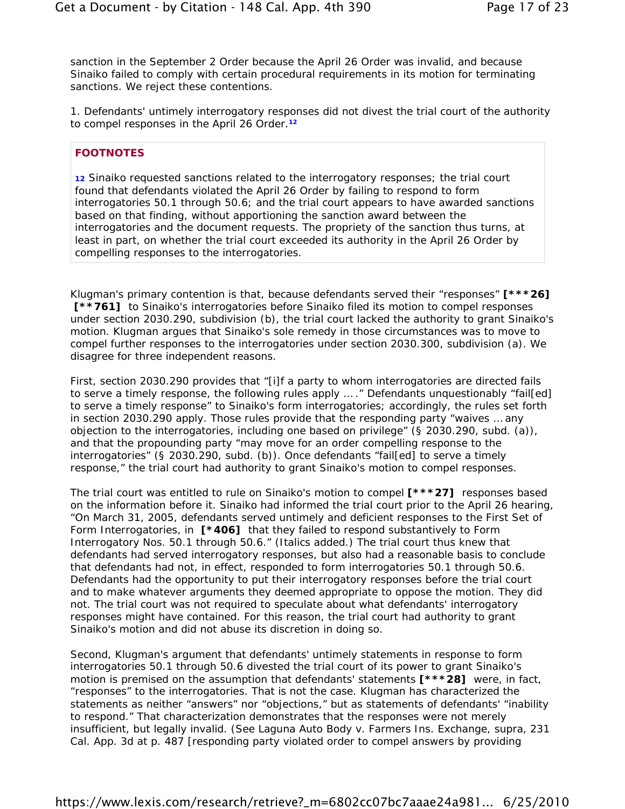sanction in the September 2 Order because the April 26 Order was invalid, and because Sinaiko failed to comply with certain procedural requirements in its motion for terminating sanctions. We reject these contentions.

1. *Defendants' untimely interrogatory responses did not divest the trial court of the authority to compel responses in the April 26 Order.***<sup>12</sup>**

### **FOOTNOTES**

**12** Sinaiko requested sanctions related to the interrogatory responses; the trial court found that defendants violated the April 26 Order by failing to respond to form interrogatories 50.1 through 50.6; and the trial court appears to have awarded sanctions based on that finding, without apportioning the sanction award between the interrogatories and the document requests. The propriety of the sanction thus turns, at least in part, on whether the trial court exceeded its authority in the April 26 Order by compelling responses to the interrogatories.

Klugman's primary contention is that, because defendants served their "responses" **[\*\*\*26]** [\*\***761]** to Sinaiko's interrogatories before Sinaiko filed its motion to compel responses under section 2030.290, subdivision (b), the trial court lacked the authority to grant Sinaiko's motion. Klugman argues that Sinaiko's sole remedy in those circumstances was to move to compel *further* responses to the interrogatories under section 2030.300, subdivision (a). We disagree for three independent reasons.

First, section 2030.290 provides that "[i]f a party to whom interrogatories are directed fails to serve a timely response, the following rules apply ... ." Defendants unquestionably "fail[ed] to serve a timely response" to Sinaiko's form interrogatories; accordingly, the rules set forth in section 2030.290 apply. Those rules provide that the responding party "waives … any objection to the interrogatories, including one based on privilege" (§ 2030.290, subd. (a)), and that the propounding party "may move for an order compelling response to the interrogatories" (§ 2030.290, subd. (b)). Once defendants "fail[ed] to serve a timely response," the trial court had authority to grant Sinaiko's motion to compel responses.

The trial court was entitled to rule on Sinaiko's motion to compel **[\*\*\*27]** responses based on the information before it. Sinaiko had informed the trial court prior to the April 26 hearing, "On March 31, 2005, defendants served untimely and deficient responses to the First Set of Form Interrogatories, *in* **[\*406]** *that they failed to respond substantively to Form Interrogatory Nos. 50.1 through 50.6*." (Italics added.) The trial court thus knew that defendants had served interrogatory responses, but also had a reasonable basis to conclude that defendants had not, in effect, responded to form interrogatories 50.1 through 50.6. Defendants had the opportunity to put their interrogatory responses before the trial court and to make whatever arguments they deemed appropriate to oppose the motion. They did not. The trial court was not required to speculate about what defendants' interrogatory responses might have contained. For this reason, the trial court had authority to grant Sinaiko's motion and did not abuse its discretion in doing so.

Second, Klugman's argument that defendants' untimely statements in response to form interrogatories 50.1 through 50.6 divested the trial court of its power to grant Sinaiko's motion is premised on the assumption that defendants' statements **[\*\*\*28]** were, in fact, "responses" to the interrogatories. That is not the case. Klugman has characterized the statements as neither "answers" nor "objections," but as statements of defendants' "inability to respond." That characterization demonstrates that the responses were not merely insufficient, but legally invalid. (See *Laguna Auto Body v. Farmers Ins. Exchange, supra*, 231 Cal. App. 3d at p. 487 [responding party violated order to compel answers by providing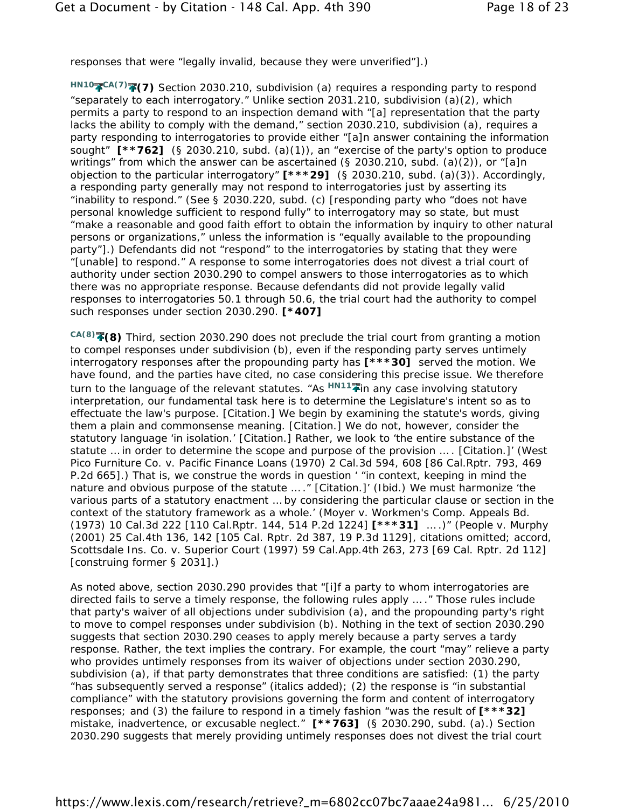responses that were "legally invalid, because they were unverified"].)

HN10<sup>2</sup>CA(7)<sup>2</sup> (7) Section 2030.210, subdivision (a) requires a responding party to respond "separately to each interrogatory." Unlike section 2031.210, subdivision (a)(2), which permits a party to respond to an inspection demand with "[a] representation that the party lacks the ability to comply with the demand," section 2030.210, subdivision (a), requires a party responding to interrogatories to provide either "[a]n answer containing the information sought" **[\*\*762]** (§ 2030.210, subd. (a)(1)), an "exercise of the party's option to produce writings" from which the answer can be ascertained (§ 2030.210, subd. (a)(2)), or "[a]n objection to the particular interrogatory" **[\*\*\*29]** (§ 2030.210, subd. (a)(3)). Accordingly, a responding party generally may *not* respond to interrogatories just by asserting its "inability to respond." (See § 2030.220, subd. (c) [responding party who "does not have personal knowledge sufficient to respond fully" to interrogatory may so state, but must "make a reasonable and good faith effort to obtain the information by inquiry to other natural persons or organizations," unless the information is "equally available to the propounding party"].) Defendants did not "respond" to the interrogatories by stating that they were "[unable] to respond." A response to some interrogatories does not divest a trial court of authority under section 2030.290 to compel answers to those interrogatories as to which there was no appropriate response. Because defendants did not provide legally valid responses to interrogatories 50.1 through 50.6, the trial court had the authority to compel such responses under section 2030.290. **[\*407]**

*CA(8)* **(8)** Third, section 2030.290 does not preclude the trial court from granting a motion to compel responses under subdivision (b), even if the responding party serves untimely interrogatory responses after the propounding party has **[\*\*\*30]** served the motion. We have found, and the parties have cited, no case considering this precise issue. We therefore turn to the language of the relevant statutes. "As  $H N 11$  in any case involving statutory interpretation, our fundamental task here is to determine the Legislature's intent so as to effectuate the law's purpose. [Citation.] We begin by examining the statute's words, giving them a plain and commonsense meaning. [Citation.] We do not, however, consider the statutory language 'in isolation.' [Citation.] Rather, we look to 'the entire substance of the statute … in order to determine the scope and purpose of the provision … . [Citation.]' (*West Pico Furniture Co. v. Pacific Finance Loans* (1970) 2 Cal.3d 594, 608 [86 Cal.Rptr. 793, 469 P.2d 665].) That is, we construe the words in question ' "in context, keeping in mind the nature and obvious purpose of the statute … ." [Citation.]' (*Ibid.*) We must harmonize 'the various parts of a statutory enactment … by considering the particular clause or section in the context of the statutory framework as a whole.' (*Moyer v. Workmen's Comp. Appeals Bd.* (1973) 10 Cal.3d 222 [110 Cal.Rptr. 144, 514 P.2d 1224] **[\*\*\*31]** … .)" (*People v. Murphy* (2001) 25 Cal.4th 136, 142 [105 Cal. Rptr. 2d 387, 19 P.3d 1129], citations omitted; accord, *Scottsdale Ins. Co. v. Superior Court* (1997) 59 Cal.App.4th 263, 273 [69 Cal. Rptr. 2d 112] [construing former § 2031].)

As noted above, section 2030.290 provides that "[i]f a party to whom interrogatories are directed fails to serve a timely response, the following rules apply … ." Those rules include that party's waiver of all objections under subdivision (a), and the propounding party's right to move to compel responses under subdivision (b). Nothing in the text of section 2030.290 suggests that section 2030.290 *ceases* to apply merely because a party serves a tardy response. Rather, the text implies the contrary. For example, the court "may" relieve a party who provides untimely responses from its waiver of objections under section 2030.290, subdivision (a), if that party demonstrates that three conditions are satisfied: (1) the party "*has subsequently* served a response" (italics added); (2) the response is "in substantial compliance" with the statutory provisions governing the form and content of interrogatory responses; and (3) the failure to respond in a timely fashion "was the result of **[\*\*\*32]** mistake, inadvertence, or excusable neglect." **[\*\*763]** (§ 2030.290, subd. (a).) Section 2030.290 suggests that merely providing untimely responses does not divest the trial court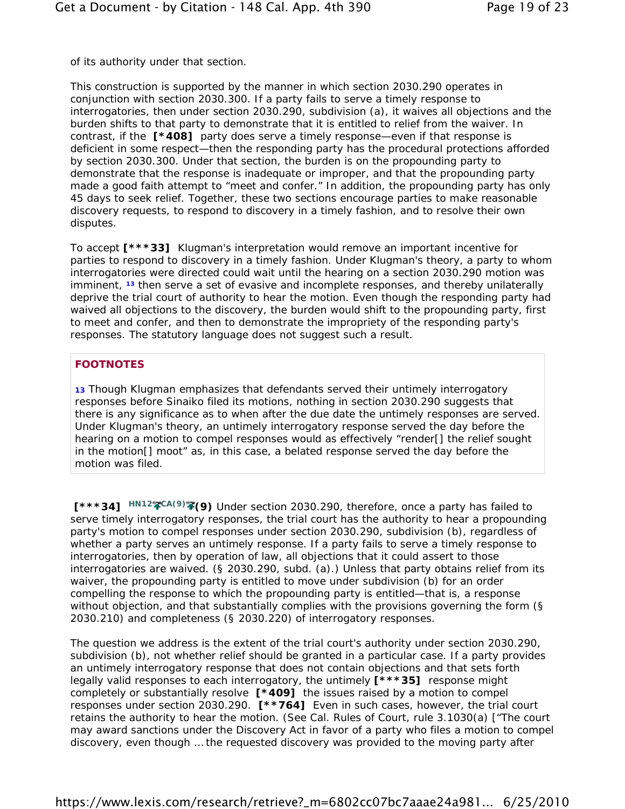of its authority under that section.

This construction is supported by the manner in which section 2030.290 operates in conjunction with section 2030.300. If a party fails to serve a timely response to interrogatories, then under section 2030.290, subdivision (a), it waives all objections and the burden shifts to that party to demonstrate that it is entitled to relief from the waiver. In contrast, if the **[\*408]** party does serve a timely response—even if that response is deficient in some respect—then the responding party has the procedural protections afforded by section 2030.300. Under that section, the burden is on the propounding party to demonstrate that the response is inadequate or improper, and that the propounding party made a good faith attempt to "meet and confer." In addition, the propounding party has only 45 days to seek relief. Together, these two sections encourage parties to make reasonable discovery requests, to respond to discovery in a timely fashion, and to resolve their own disputes.

To accept **[\*\*\*33]** Klugman's interpretation would remove an important incentive for parties to respond to discovery in a timely fashion. Under Klugman's theory, a party to whom interrogatories were directed could wait until the hearing on a section 2030.290 motion was imminent, **13** then serve a set of evasive and incomplete responses, and thereby unilaterally deprive the trial court of authority to hear the motion. Even though the responding party had waived all objections to the discovery, the burden would shift to the propounding party, first to meet and confer, and then to demonstrate the impropriety of the responding party's responses. The statutory language does not suggest such a result.

## **FOOTNOTES**

**13** Though Klugman emphasizes that defendants served their untimely interrogatory responses before Sinaiko filed its motions, nothing in section 2030.290 suggests that there is any significance as to when after the due date the untimely responses are served. Under Klugman's theory, an untimely interrogatory response served the day before the hearing on a motion to compel responses would as effectively "render[] the relief sought in the motion[] moot" as, in this case, a belated response served the day before the motion was filed.

**[\*\*\*34]** *HN12* CA(9)<sup>2</sup> (9) Under section 2030.290, therefore, once a party has failed to serve timely interrogatory responses, the trial court has the authority to hear a propounding party's motion to compel responses under section 2030.290, subdivision (b), regardless of whether a party serves an untimely response. If a party fails to serve a timely response to interrogatories, then by operation of law, all objections that it could assert to those interrogatories are waived. (§ 2030.290, subd. (a).) Unless that party obtains relief from its waiver, the propounding party is entitled to move under subdivision (b) for an order compelling the response to which the propounding party is entitled—that is, a response without objection, and that substantially complies with the provisions governing the form (§ 2030.210) and completeness (§ 2030.220) of interrogatory responses.

The question we address is the extent of the trial court's *authority* under section 2030.290, subdivision (b), not whether relief should be granted in a particular case. If a party provides an untimely interrogatory response that does not contain objections and that sets forth legally valid responses to each interrogatory, the untimely **[\*\*\*35]** response might completely or substantially resolve **[\*409]** the issues raised by a motion to compel responses under section 2030.290. **[\*\*764]** Even in such cases, however, the trial court retains the authority to hear the motion. (See Cal. Rules of Court, rule 3.1030(a) ["The court may award sanctions under the Discovery Act in favor of a party who files a motion to compel discovery, even though … the requested discovery was provided to the moving party after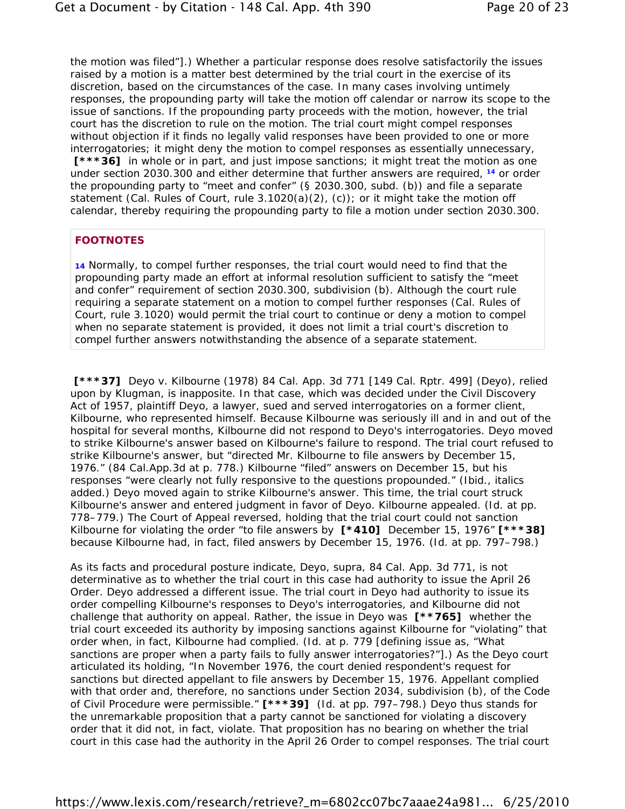the motion was filed"].) Whether a particular response does resolve satisfactorily the issues raised by a motion is a matter best determined by the trial court in the exercise of its discretion, based on the circumstances of the case. In many cases involving untimely responses, the propounding party will take the motion off calendar or narrow its scope to the issue of sanctions. If the propounding party proceeds with the motion, however, the trial court has the discretion to rule on the motion. The trial court might compel responses without objection if it finds no legally valid responses have been provided to one or more interrogatories; it might deny the motion to compel responses as essentially unnecessary, **[\*\*\*36]** in whole or in part, and just impose sanctions; it might treat the motion as one under section 2030.300 and either determine that further answers are required, **14** or order the propounding party to "meet and confer" (§ 2030.300, subd. (b)) and file a separate statement (Cal. Rules of Court, rule  $3.1020(a)(2)$ , (c)); or it might take the motion off calendar, thereby requiring the propounding party to file a motion under section 2030.300.

### **FOOTNOTES**

**14** Normally, to compel further responses, the trial court would need to find that the propounding party made an effort at informal resolution sufficient to satisfy the "meet and confer" requirement of section 2030.300, subdivision (b). Although the court rule requiring a separate statement on a motion to compel further responses (Cal. Rules of Court, rule 3.1020) would permit the trial court to continue or deny a motion to compel when no separate statement is provided, it does not limit a trial court's discretion to compel further answers notwithstanding the absence of a separate statement.

**[\*\*\*37]** *Deyo v. Kilbourne* (1978) 84 Cal. App. 3d 771 [149 Cal. Rptr. 499] (*Deyo*), relied upon by Klugman, is inapposite. In that case, which was decided under the Civil Discovery Act of 1957, plaintiff Deyo, a lawyer, sued and served interrogatories on a former client, Kilbourne, who represented himself. Because Kilbourne was seriously ill and in and out of the hospital for several months, Kilbourne did not respond to Deyo's interrogatories. Deyo moved to strike Kilbourne's answer based on Kilbourne's failure to respond. The trial court refused to strike Kilbourne's answer, but "directed Mr. Kilbourne to file answers by December 15, 1976." (84 Cal.App.3d at p. 778.) Kilbourne "filed" answers on December 15, but his responses "were clearly not *fully* responsive to the questions propounded." (*Ibid.*, italics added.) Deyo moved again to strike Kilbourne's answer. This time, the trial court struck Kilbourne's answer and entered judgment in favor of Deyo. Kilbourne appealed. (*Id.* at pp. 778–779.) The Court of Appeal reversed, holding that the trial court could not sanction Kilbourne for violating the order "to file answers by **[\*410]** December 15, 1976" **[\*\*\*38]** because Kilbourne had, in fact, filed answers by December 15, 1976. (*Id.* at pp. 797–798.)

As its facts and procedural posture indicate, *Deyo, supra*, 84 Cal. App. 3d 771, is not determinative as to whether the trial court in this case had authority to issue the April 26 Order. *Deyo* addressed a different issue. The trial court in *Deyo* had authority to issue its order compelling Kilbourne's responses to Deyo's interrogatories, and Kilbourne did not challenge that authority on appeal. Rather, the issue in *Deyo* was **[\*\*765]** whether the trial court exceeded its authority by imposing *sanctions* against Kilbourne for "violating" that order when, in fact, Kilbourne had complied. (*Id.* at p. 779 [defining issue as, "What sanctions are proper when a party fails to fully answer interrogatories?"].) As the *Deyo* court articulated its holding, "In November 1976, the court denied respondent's request for sanctions but directed appellant to file answers by December 15, 1976. Appellant complied with that order and, therefore, no sanctions under Section 2034, subdivision (b), of the Code of Civil Procedure were permissible." **[\*\*\*39]** (*Id.* at pp. 797–798.) *Deyo* thus stands for the unremarkable proposition that a party cannot be sanctioned for violating a discovery order that it did not, in fact, violate. That proposition has no bearing on whether the trial court in this case had the authority in the April 26 Order to compel responses. The trial court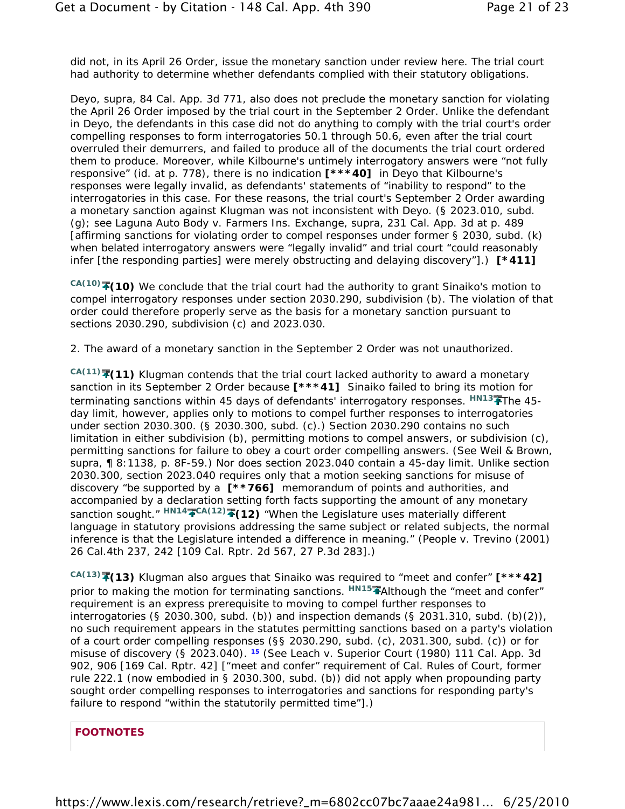did not, in its April 26 Order, issue the monetary sanction under review here. The trial court had authority to determine whether defendants complied with their statutory obligations.

*Deyo, supra*, 84 Cal. App. 3d 771, also does not preclude the monetary sanction for violating the April 26 Order imposed by the trial court in the September 2 Order. Unlike the defendant in *Deyo*, the defendants in this case did not do *anything* to comply with the trial court's order compelling responses to form interrogatories 50.1 through 50.6, even after the trial court overruled their demurrers, and failed to produce all of the documents the trial court ordered them to produce. Moreover, while Kilbourne's untimely interrogatory answers were "not fully responsive" (*id.* at p. 778), there is no indication **[\*\*\*40]** in *Deyo* that Kilbourne's responses were legally invalid, as defendants' statements of "inability to respond" to the interrogatories in this case. For these reasons, the trial court's September 2 Order awarding a monetary sanction against Klugman was not inconsistent with *Deyo*. (§ 2023.010, subd. (g); see *Laguna Auto Body v. Farmers Ins. Exchange, supra*, 231 Cal. App. 3d at p. 489 [affirming sanctions for violating order to compel responses under former § 2030, subd. (k) when belated interrogatory answers were "legally invalid" and trial court "could reasonably infer [the responding parties] were merely obstructing and delaying discovery"].) **[\*411]**

CA(10)<sup></sup> **(10)** We conclude that the trial court had the authority to grant Sinaiko's motion to compel interrogatory responses under section 2030.290, subdivision (b). The violation of that order could therefore properly serve as the basis for a monetary sanction pursuant to sections 2030.290, subdivision (c) and 2023.030.

### 2. *The award of a monetary sanction in the September 2 Order was not unauthorized.*

*CA(11)* **(11)** Klugman contends that the trial court lacked authority to award a monetary sanction in its September 2 Order because **[\*\*\*41]** Sinaiko failed to bring its motion for terminating sanctions within 45 days of defendants' interrogatory responses. <sup>*HN13*<sup>-</sup> The 45-</sup> day limit, however, applies only to motions to compel further responses to interrogatories under section 2030.300. (§ 2030.300, subd. (c).) Section 2030.290 contains no such limitation in either subdivision (b), permitting motions to compel answers, or subdivision (c), permitting sanctions for failure to obey a court order compelling answers. (See Weil & Brown, *supra*, ¶ 8:1138, p. 8F-59.) Nor does section 2023.040 contain a 45-day limit. Unlike section 2030.300, section 2023.040 requires only that a motion seeking sanctions for misuse of discovery "be supported by a **[\*\*766]** memorandum of points and authorities, and accompanied by a declaration setting forth facts supporting the amount of any monetary sanction sought."  $H N 14$ <sup>2</sup> CA(12)<sup>2</sup> (12) "When the Legislature uses materially different language in statutory provisions addressing the same subject or related subjects, the normal inference is that the Legislature intended a difference in meaning." (*People v. Trevino* (2001) 26 Cal.4th 237, 242 [109 Cal. Rptr. 2d 567, 27 P.3d 283].)

*CA(13)* **(13)** Klugman also argues that Sinaiko was required to "meet and confer" **[\*\*\*42]** prior to making the motion for terminating sanctions. *HN15* Although the "meet and confer" requirement is an express prerequisite to moving to compel further responses to interrogatories (§ 2030.300, subd. (b)) and inspection demands (§ 2031.310, subd. (b)(2)), no such requirement appears in the statutes permitting sanctions based on a party's violation of a court order compelling responses (§§ 2030.290, subd. (c), 2031.300, subd. (c)) or for misuse of discovery (§ 2023.040). **15** (See *Leach v. Superior Court* (1980) 111 Cal. App. 3d 902, 906 [169 Cal. Rptr. 42] ["meet and confer" requirement of Cal. Rules of Court, former rule 222.1 (now embodied in § 2030.300, subd. (b)) did not apply when propounding party sought order compelling responses to interrogatories and sanctions for responding party's failure to respond "within the statutorily permitted time"].)

## **FOOTNOTES**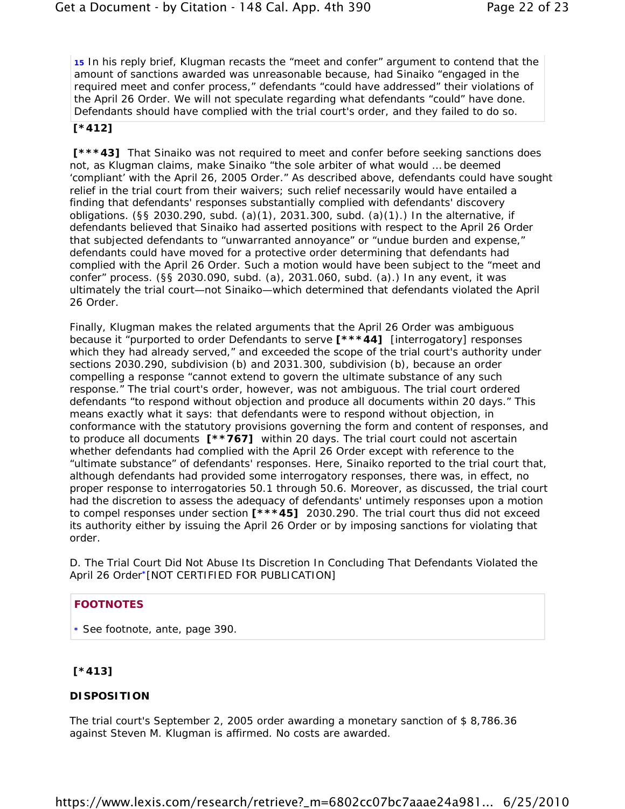**15** In his reply brief, Klugman recasts the "meet and confer" argument to contend that the amount of sanctions awarded was unreasonable because, had Sinaiko "engaged in the required meet and confer process," defendants "could have addressed" their violations of the April 26 Order. We will not speculate regarding what defendants "could" have done. Defendants *should* have complied with the trial court's order, and they failed to do so.

### **[\*412]**

**[\*\*\*43]** That Sinaiko was not required to meet and confer before seeking sanctions does not, as Klugman claims, make Sinaiko "the sole arbiter of what would … be deemed 'compliant' with the April 26, 2005 Order." As described above, defendants could have sought relief in the trial court from their waivers; such relief necessarily would have entailed a finding that defendants' responses substantially complied with defendants' discovery obligations. (§§ 2030.290, subd. (a)(1), 2031.300, subd. (a)(1).) In the alternative, if defendants believed that Sinaiko had asserted positions with respect to the April 26 Order that subjected defendants to "unwarranted annoyance" or "undue burden and expense," defendants could have moved for a protective order determining that defendants had complied with the April 26 Order. Such a motion would have been subject to the "meet and confer" process. (§§ 2030.090, subd. (a), 2031.060, subd. (a).) In any event, it was ultimately the trial court—not Sinaiko—which determined that defendants violated the April 26 Order.

Finally, Klugman makes the related arguments that the April 26 Order was ambiguous because it "purported to order Defendants to serve **[\*\*\*44]** [interrogatory] responses which they had already served," and exceeded the scope of the trial court's authority under sections 2030.290, subdivision (b) and 2031.300, subdivision (b), because an order compelling a response "cannot extend to govern the ultimate substance of any such response." The trial court's order, however, was not ambiguous. The trial court ordered defendants "to respond without objection and produce all documents within 20 days." This means exactly what it says: that defendants were to respond without objection, in conformance with the statutory provisions governing the form and content of responses, and to produce all documents **[\*\*767]** within 20 days. The trial court could not ascertain whether defendants had complied with the April 26 Order *except* with reference to the "ultimate substance" of defendants' responses. Here, Sinaiko reported to the trial court that, although defendants had provided some interrogatory responses, there was, in effect, no proper response to interrogatories 50.1 through 50.6. Moreover, as discussed, the trial court had the discretion to assess the adequacy of defendants' untimely responses upon a motion to compel responses under section **[\*\*\*45]** 2030.290. The trial court thus did not exceed its authority either by issuing the April 26 Order or by imposing sanctions for violating that order.

D. *The Trial Court Did Not Abuse Its Discretion In Concluding That Defendants Violated the April 26 Order***\***[NOT CERTIFIED FOR PUBLICATION]

## **FOOTNOTES**

**\*** See footnote, *ante*, page 390.

# **[\*413]**

## **DISPOSITION**

The trial court's September 2, 2005 order awarding a monetary sanction of \$ 8,786.36 against Steven M. Klugman is affirmed. No costs are awarded.